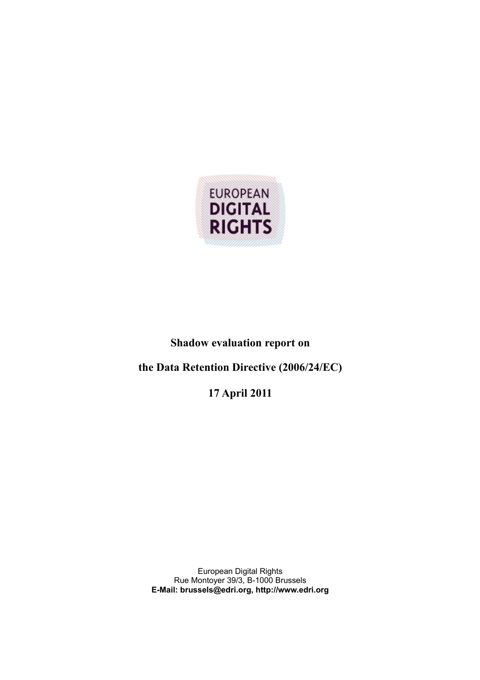

# **Shadow evaluation report on**

# **the Data Retention Directive (2006/24/EC)**

**17 April 2011**

European Digital Rights Rue Montoyer 39/3, B-1000 Brussels **E-Mail: brussels@edri.org, http://www.edri.org**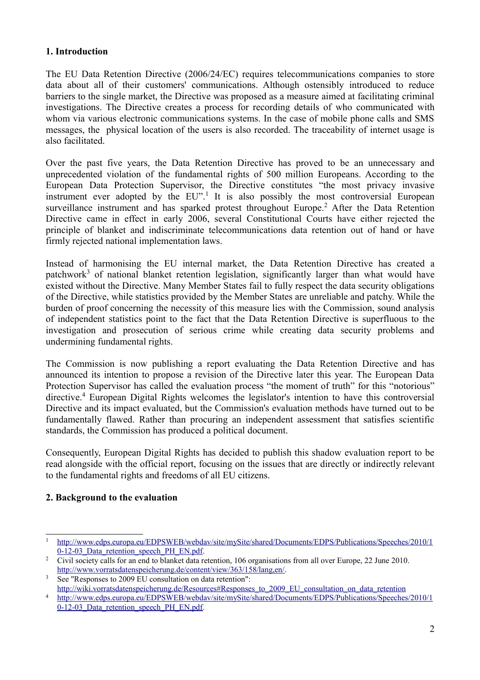#### **1. Introduction**

The EU Data Retention Directive (2006/24/EC) requires telecommunications companies to store data about all of their customers' communications. Although ostensibly introduced to reduce barriers to the single market, the Directive was proposed as a measure aimed at facilitating criminal investigations. The Directive creates a process for recording details of who communicated with whom via various electronic communications systems. In the case of mobile phone calls and SMS messages, the physical location of the users is also recorded. The traceability of internet usage is also facilitated.

Over the past five years, the Data Retention Directive has proved to be an unnecessary and unprecedented violation of the fundamental rights of 500 million Europeans. According to the European Data Protection Supervisor, the Directive constitutes "the most privacy invasive instrument ever adopted by the  $EU$ <sup>[1](#page-1-0)</sup>. It is also possibly the most controversial European surveillance instrument and has sparked protest throughout Europe.<sup>[2](#page-1-1)</sup> After the Data Retention Directive came in effect in early 2006, several Constitutional Courts have either rejected the principle of blanket and indiscriminate telecommunications data retention out of hand or have firmly rejected national implementation laws.

Instead of harmonising the EU internal market, the Data Retention Directive has created a patchwork<sup>[3](#page-1-2)</sup> of national blanket retention legislation, significantly larger than what would have existed without the Directive. Many Member States fail to fully respect the data security obligations of the Directive, while statistics provided by the Member States are unreliable and patchy. While the burden of proof concerning the necessity of this measure lies with the Commission, sound analysis of independent statistics point to the fact that the Data Retention Directive is superfluous to the investigation and prosecution of serious crime while creating data security problems and undermining fundamental rights.

The Commission is now publishing a report evaluating the Data Retention Directive and has announced its intention to propose a revision of the Directive later this year. The European Data Protection Supervisor has called the evaluation process "the moment of truth" for this "notorious" directive.<sup>[4](#page-1-3)</sup> European Digital Rights welcomes the legislator's intention to have this controversial Directive and its impact evaluated, but the Commission's evaluation methods have turned out to be fundamentally flawed. Rather than procuring an independent assessment that satisfies scientific standards, the Commission has produced a political document.

Consequently, European Digital Rights has decided to publish this shadow evaluation report to be read alongside with the official report, focusing on the issues that are directly or indirectly relevant to the fundamental rights and freedoms of all EU citizens.

#### **2. Background to the evaluation**

<span id="page-1-0"></span><sup>1</sup>  [http://www.edps.europa.eu/EDPSWEB/webdav/site/mySite/shared/Documents/EDPS/Publications/Speeches/2010/1](http://www.edps.europa.eu/EDPSWEB/webdav/site/mySite/shared/Documents/EDPS/Publications/Speeches/2010/10-12-03_Data_retention_speech_PH_EN.pdf) 0-12-03 Data retention speech PH\_EN.pdf.

<span id="page-1-1"></span><sup>&</sup>lt;sup>2</sup> Civil society calls for an end to blanket data retention, 106 organisations from all over Europe, 22 June 2010. [http://www.vorratsdatenspeicherung.de/content/view/363/158/lang,en/.](http://www.vorratsdatenspeicherung.de/content/view/363/158/lang,en/)

<span id="page-1-2"></span><sup>&</sup>lt;sup>3</sup> See "Responses to 2009 EU consultation on data retention": [http://wiki.vorratsdatenspeicherung.de/Resources#Responses\\_to\\_2009\\_EU\\_consultation\\_on\\_data\\_retention](http://wiki.vorratsdatenspeicherung.de/Resources#Responses_to_2009_EU_consultation_on_data_retention)

<span id="page-1-3"></span><sup>4</sup>  [http://www.edps.europa.eu/EDPSWEB/webdav/site/mySite/shared/Documents/EDPS/Publications/Speeches/2010/1](http://www.edps.europa.eu/EDPSWEB/webdav/site/mySite/shared/Documents/EDPS/Publications/Speeches/2010/10-12-03_Data_retention_speech_PH_EN.pdf) 0-12-03 Data retention speech PH\_EN.pdf.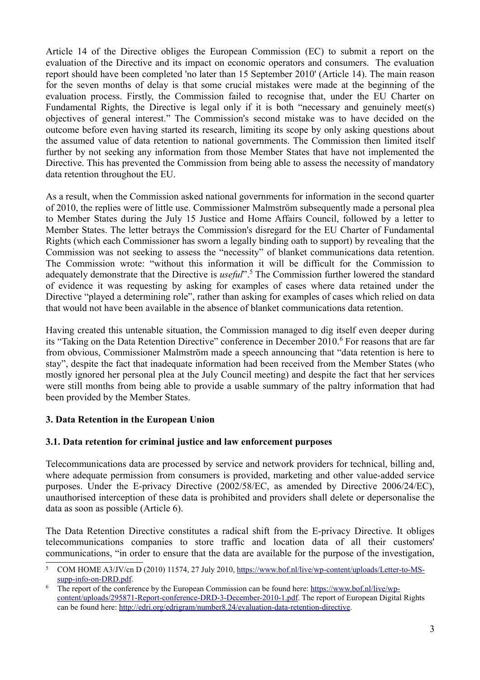Article 14 of the Directive obliges the European Commission (EC) to submit a report on the evaluation of the Directive and its impact on economic operators and consumers. The evaluation report should have been completed 'no later than 15 September 2010' (Article 14). The main reason for the seven months of delay is that some crucial mistakes were made at the beginning of the evaluation process. Firstly, the Commission failed to recognise that, under the EU Charter on Fundamental Rights, the Directive is legal only if it is both "necessary and genuinely meet(s) objectives of general interest." The Commission's second mistake was to have decided on the outcome before even having started its research, limiting its scope by only asking questions about the assumed value of data retention to national governments. The Commission then limited itself further by not seeking any information from those Member States that have not implemented the Directive. This has prevented the Commission from being able to assess the necessity of mandatory data retention throughout the EU.

As a result, when the Commission asked national governments for information in the second quarter of 2010, the replies were of little use. Commissioner Malmström subsequently made a personal plea to Member States during the July 15 Justice and Home Affairs Council, followed by a letter to Member States. The letter betrays the Commission's disregard for the EU Charter of Fundamental Rights (which each Commissioner has sworn a legally binding oath to support) by revealing that the Commission was not seeking to assess the "necessity" of blanket communications data retention. The Commission wrote: "without this information it will be difficult for the Commission to adequately demonstrate that the Directive is *useful*". [5](#page-2-0) The Commission further lowered the standard of evidence it was requesting by asking for examples of cases where data retained under the Directive "played a determining role", rather than asking for examples of cases which relied on data that would not have been available in the absence of blanket communications data retention.

Having created this untenable situation, the Commission managed to dig itself even deeper during its "Taking on the Data Retention Directive" conference in December 2010.<sup>[6](#page-2-1)</sup> For reasons that are far from obvious, Commissioner Malmström made a speech announcing that "data retention is here to stay", despite the fact that inadequate information had been received from the Member States (who mostly ignored her personal plea at the July Council meeting) and despite the fact that her services were still months from being able to provide a usable summary of the paltry information that had been provided by the Member States.

# **3. Data Retention in the European Union**

#### **3.1. Data retention for criminal justice and law enforcement purposes**

Telecommunications data are processed by service and network providers for technical, billing and, where adequate permission from consumers is provided, marketing and other value-added service purposes. Under the E-privacy Directive (2002/58/EC, as amended by Directive 2006/24/EC), unauthorised interception of these data is prohibited and providers shall delete or depersonalise the data as soon as possible (Article 6).

The Data Retention Directive constitutes a radical shift from the E-privacy Directive. It obliges telecommunications companies to store traffic and location data of all their customers' communications, "in order to ensure that the data are available for the purpose of the investigation,

<span id="page-2-0"></span><sup>5</sup> COM HOME A3/JV/cn D (2010) 11574, 27 July 2010, [https://www.bof.nl/live/wp-content/uploads/Letter-to-MS](https://www.bof.nl/live/wp-content/uploads/Letter-to-MS-supp-info-on-DRD.pdf)[supp-info-on-DRD.pdf.](https://www.bof.nl/live/wp-content/uploads/Letter-to-MS-supp-info-on-DRD.pdf)

<span id="page-2-1"></span><sup>6</sup> The report of the conference by the European Commission can be found here: [https://www.bof.nl/live/wp](https://www.bof.nl/live/wp-content/uploads/295871-Report-conference-DRD-3-December-2010-1.pdf)[content/uploads/295871-Report-conference-DRD-3-December-2010-1.pdf.](https://www.bof.nl/live/wp-content/uploads/295871-Report-conference-DRD-3-December-2010-1.pdf) The report of European Digital Rights can be found here: [http://edri.org/edrigram/number8.24/evaluation-data-retention-directive.](http://edri.org/edrigram/number8.24/evaluation-data-retention-directive)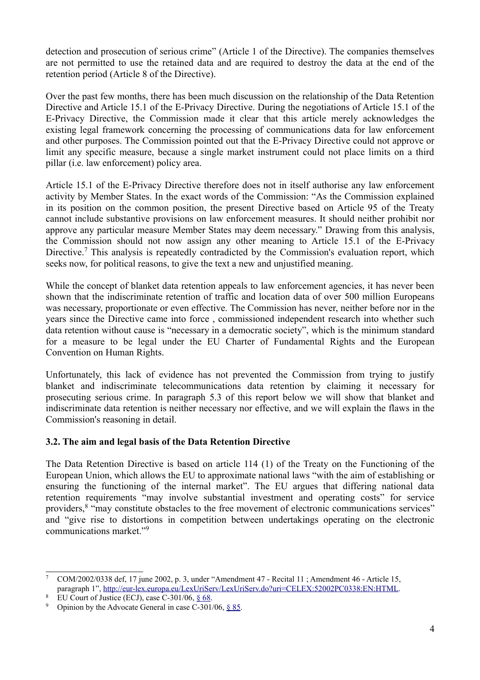detection and prosecution of serious crime" (Article 1 of the Directive). The companies themselves are not permitted to use the retained data and are required to destroy the data at the end of the retention period (Article 8 of the Directive).

Over the past few months, there has been much discussion on the relationship of the Data Retention Directive and Article 15.1 of the E-Privacy Directive. During the negotiations of Article 15.1 of the E-Privacy Directive, the Commission made it clear that this article merely acknowledges the existing legal framework concerning the processing of communications data for law enforcement and other purposes. The Commission pointed out that the E-Privacy Directive could not approve or limit any specific measure, because a single market instrument could not place limits on a third pillar (i.e. law enforcement) policy area.

Article 15.1 of the E-Privacy Directive therefore does not in itself authorise any law enforcement activity by Member States. In the exact words of the Commission: "As the Commission explained in its position on the common position, the present Directive based on Article 95 of the Treaty cannot include substantive provisions on law enforcement measures. It should neither prohibit nor approve any particular measure Member States may deem necessary." Drawing from this analysis, the Commission should not now assign any other meaning to Article 15.1 of the E-Privacy Directive.<sup>[7](#page-3-0)</sup> This analysis is repeatedly contradicted by the Commission's evaluation report, which seeks now, for political reasons, to give the text a new and unjustified meaning.

While the concept of blanket data retention appeals to law enforcement agencies, it has never been shown that the indiscriminate retention of traffic and location data of over 500 million Europeans was necessary, proportionate or even effective. The Commission has never, neither before nor in the years since the Directive came into force , commissioned independent research into whether such data retention without cause is "necessary in a democratic society", which is the minimum standard for a measure to be legal under the EU Charter of Fundamental Rights and the European Convention on Human Rights.

Unfortunately, this lack of evidence has not prevented the Commission from trying to justify blanket and indiscriminate telecommunications data retention by claiming it necessary for prosecuting serious crime. In paragraph 5.3 of this report below we will show that blanket and indiscriminate data retention is neither necessary nor effective, and we will explain the flaws in the Commission's reasoning in detail.

# **3.2. The aim and legal basis of the Data Retention Directive**

The Data Retention Directive is based on article 114 (1) of the Treaty on the Functioning of the European Union, which allows the EU to approximate national laws "with the aim of establishing or ensuring the functioning of the internal market". The EU argues that differing national data retention requirements "may involve substantial investment and operating costs" for service providers,<sup>[8](#page-3-1)</sup> "may constitute obstacles to the free movement of electronic communications services" and "give rise to distortions in competition between undertakings operating on the electronic communications market."[9](#page-3-2)

<span id="page-3-0"></span><sup>7</sup> COM/2002/0338 def, 17 june 2002, p. 3, under "Amendment 47 - Recital 11 ; Amendment 46 - Article 15, paragraph 1", [http://eur-lex.europa.eu/LexUriServ/LexUriServ.do?uri=CELEX:52002PC0338:EN:HTML.](http://eur-lex.europa.eu/LexUriServ/LexUriServ.do?uri=CELEX:52002PC0338:EN:HTML)

<span id="page-3-1"></span>EU Court of Justice (ECJ), case  $C-301/06$ ,  $§ 68$ .

<span id="page-3-2"></span><sup>&</sup>lt;sup>9</sup> Opinion by the Advocate General in case C-301/06,  $§ 85$ .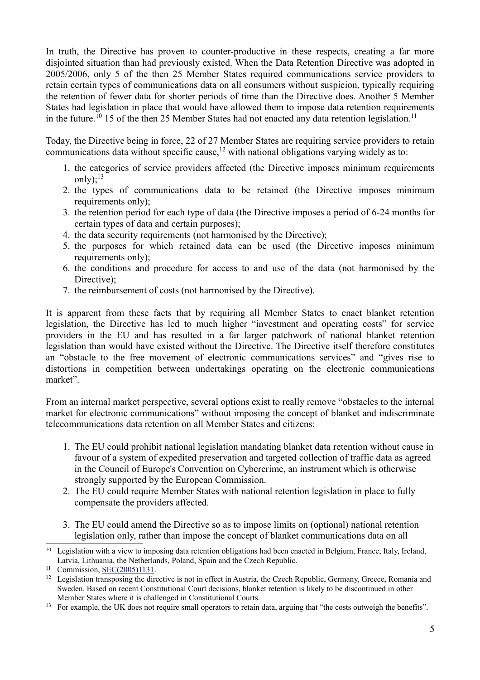In truth, the Directive has proven to counter-productive in these respects, creating a far more disjointed situation than had previously existed. When the Data Retention Directive was adopted in 2005/2006, only 5 of the then 25 Member States required communications service providers to retain certain types of communications data on all consumers without suspicion, typically requiring the retention of fewer data for shorter periods of time than the Directive does. Another 5 Member States had legislation in place that would have allowed them to impose data retention requirements in the future.<sup>[10](#page-4-0)</sup> 15 of the then 25 Member States had not enacted any data retention legislation.<sup>[11](#page-4-1)</sup>

Today, the Directive being in force, 22 of 27 Member States are requiring service providers to retain communications data without specific cause,<sup>[12](#page-4-2)</sup> with national obligations varying widely as to:

- 1. the categories of service providers affected (the Directive imposes minimum requirements only): $13$
- 2. the types of communications data to be retained (the Directive imposes minimum requirements only):
- 3. the retention period for each type of data (the Directive imposes a period of 6-24 months for certain types of data and certain purposes);
- 4. the data security requirements (not harmonised by the Directive);
- 5. the purposes for which retained data can be used (the Directive imposes minimum requirements only);
- 6. the conditions and procedure for access to and use of the data (not harmonised by the Directive):
- 7. the reimbursement of costs (not harmonised by the Directive).

It is apparent from these facts that by requiring all Member States to enact blanket retention legislation, the Directive has led to much higher "investment and operating costs" for service providers in the EU and has resulted in a far larger patchwork of national blanket retention legislation than would have existed without the Directive. The Directive itself therefore constitutes an "obstacle to the free movement of electronic communications services" and "gives rise to distortions in competition between undertakings operating on the electronic communications market".

From an internal market perspective, several options exist to really remove "obstacles to the internal market for electronic communications" without imposing the concept of blanket and indiscriminate telecommunications data retention on all Member States and citizens:

- 1. The EU could prohibit national legislation mandating blanket data retention without cause in favour of a system of expedited preservation and targeted collection of traffic data as agreed in the Council of Europe's Convention on Cybercrime, an instrument which is otherwise strongly supported by the European Commission.
- 2. The EU could require Member States with national retention legislation in place to fully compensate the providers affected.
- 3. The EU could amend the Directive so as to impose limits on (optional) national retention legislation only, rather than impose the concept of blanket communications data on all

<span id="page-4-0"></span><sup>&</sup>lt;sup>10</sup> Legislation with a view to imposing data retention obligations had been enacted in Belgium, France, Italy, Ireland, Latvia, Lithuania, the Netherlands, Poland, Spain and the Czech Republic.

<span id="page-4-1"></span><sup>&</sup>lt;sup>11</sup> Commission, <u>SEC(2005)1131</u>.

<span id="page-4-2"></span> $12$  Legislation transposing the directive is not in effect in Austria, the Czech Republic, Germany, Greece, Romania and Sweden. Based on recent Constitutional Court decisions, blanket retention is likely to be discontinued in other Member States where it is challenged in Constitutional Courts.

<span id="page-4-3"></span><sup>&</sup>lt;sup>13</sup> For example, the UK does not require small operators to retain data, arguing that "the costs outweigh the benefits".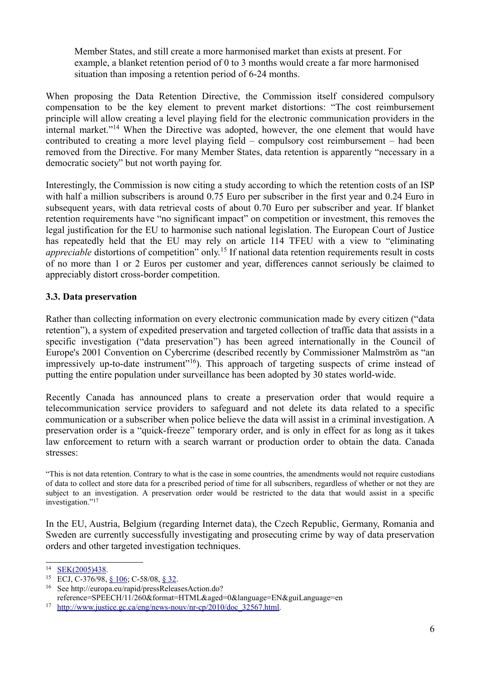Member States, and still create a more harmonised market than exists at present. For example, a blanket retention period of 0 to 3 months would create a far more harmonised situation than imposing a retention period of 6-24 months.

When proposing the Data Retention Directive, the Commission itself considered compulsory compensation to be the key element to prevent market distortions: "The cost reimbursement principle will allow creating a level playing field for the electronic communication providers in the internal market."[14](#page-5-0) When the Directive was adopted, however, the one element that would have contributed to creating a more level playing field – compulsory cost reimbursement – had been removed from the Directive. For many Member States, data retention is apparently "necessary in a democratic society" but not worth paying for.

Interestingly, the Commission is now citing a study according to which the retention costs of an ISP with half a million subscribers is around 0.75 Euro per subscriber in the first year and 0.24 Euro in subsequent years, with data retrieval costs of about 0.70 Euro per subscriber and year. If blanket retention requirements have "no significant impact" on competition or investment, this removes the legal justification for the EU to harmonise such national legislation. The European Court of Justice has repeatedly held that the EU may rely on article 114 TFEU with a view to "eliminating *appreciable* distortions of competition" only.<sup>[15](#page-5-1)</sup> If national data retention requirements result in costs of no more than 1 or 2 Euros per customer and year, differences cannot seriously be claimed to appreciably distort cross-border competition.

#### **3.3. Data preservation**

Rather than collecting information on every electronic communication made by every citizen ("data retention"), a system of expedited preservation and targeted collection of traffic data that assists in a specific investigation ("data preservation") has been agreed internationally in the Council of Europe's 2001 Convention on Cybercrime (described recently by Commissioner Malmström as "an impressively up-to-date instrument"<sup>[16](#page-5-2)</sup>). This approach of targeting suspects of crime instead of putting the entire population under surveillance has been adopted by 30 states world-wide.

Recently Canada has announced plans to create a preservation order that would require a telecommunication service providers to safeguard and not delete its data related to a specific communication or a subscriber when police believe the data will assist in a criminal investigation. A preservation order is a "quick-freeze" temporary order, and is only in effect for as long as it takes law enforcement to return with a search warrant or production order to obtain the data. Canada stresses:

"This is not data retention. Contrary to what is the case in some countries, the amendments would not require custodians of data to collect and store data for a prescribed period of time for all subscribers, regardless of whether or not they are subject to an investigation. A preservation order would be restricted to the data that would assist in a specific investigation." [17](#page-5-3)

In the EU, Austria, Belgium (regarding Internet data), the Czech Republic, Germany, Romania and Sweden are currently successfully investigating and prosecuting crime by way of data preservation orders and other targeted investigation techniques.

<span id="page-5-0"></span><sup>14</sup>  [SEK\(2005\)438.](http://eur-lex.europa.eu/LexUriServ/LexUriServ.do?uri=COM:2005:0438:FIN:EN:PDF)

<span id="page-5-1"></span><sup>15</sup> ECJ, C-376/98, [§ 106;](http://curia.europa.eu/jurisp/cgi-bin/gettext.pl?lang=en&num=79998994C19980376&doc=T&ouvert=T&seance=ARRET) C-58/08, [§ 32.](http://curia.europa.eu/jurisp/cgi-bin/gettext.pl?lang=en&num=79899391C19080058&doc=T&ouvert=T&seance=ARRET)

<span id="page-5-2"></span><sup>16</sup> See http://europa.eu/rapid/pressReleasesAction.do?

<span id="page-5-3"></span>reference=SPEECH/11/260&format=HTML&aged=0&language=EN&guiLanguage=en <sup>17</sup> [http://www.justice.gc.ca/eng/news-nouv/nr-cp/2010/doc\\_32567.html.](http://www.justice.gc.ca/eng/news-nouv/nr-cp/2010/doc_32567.html)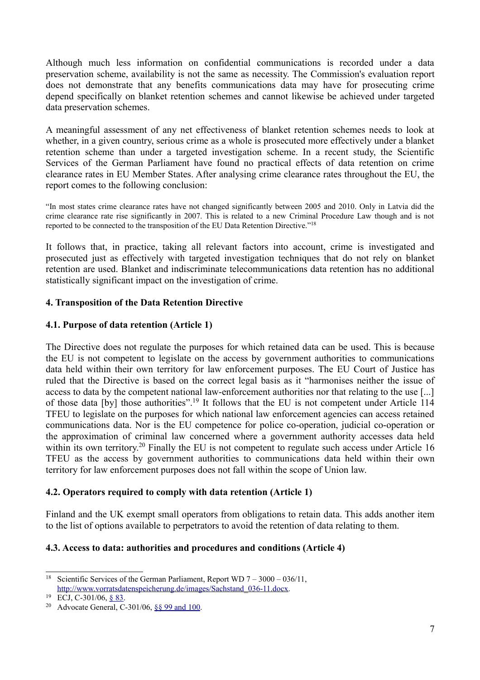Although much less information on confidential communications is recorded under a data preservation scheme, availability is not the same as necessity. The Commission's evaluation report does not demonstrate that any benefits communications data may have for prosecuting crime depend specifically on blanket retention schemes and cannot likewise be achieved under targeted data preservation schemes.

A meaningful assessment of any net effectiveness of blanket retention schemes needs to look at whether, in a given country, serious crime as a whole is prosecuted more effectively under a blanket retention scheme than under a targeted investigation scheme. In a recent study, the Scientific Services of the German Parliament have found no practical effects of data retention on crime clearance rates in EU Member States. After analysing crime clearance rates throughout the EU, the report comes to the following conclusion:

"In most states crime clearance rates have not changed significantly between 2005 and 2010. Only in Latvia did the crime clearance rate rise significantly in 2007. This is related to a new Criminal Procedure Law though and is not reported to be connected to the transposition of the EU Data Retention Directive."[18](#page-6-0)

It follows that, in practice, taking all relevant factors into account, crime is investigated and prosecuted just as effectively with targeted investigation techniques that do not rely on blanket retention are used. Blanket and indiscriminate telecommunications data retention has no additional statistically significant impact on the investigation of crime.

#### **4. Transposition of the Data Retention Directive**

# **4.1. Purpose of data retention (Article 1)**

The Directive does not regulate the purposes for which retained data can be used. This is because the EU is not competent to legislate on the access by government authorities to communications data held within their own territory for law enforcement purposes. The EU Court of Justice has ruled that the Directive is based on the correct legal basis as it "harmonises neither the issue of access to data by the competent national law-enforcement authorities nor that relating to the use [...] of those data [by] those authorities".[19](#page-6-1) It follows that the EU is not competent under Article 114 TFEU to legislate on the purposes for which national law enforcement agencies can access retained communications data. Nor is the EU competence for police co-operation, judicial co-operation or the approximation of criminal law concerned where a government authority accesses data held within its own territory.<sup>[20](#page-6-2)</sup> Finally the EU is not competent to regulate such access under Article 16 TFEU as the access by government authorities to communications data held within their own territory for law enforcement purposes does not fall within the scope of Union law.

# **4.2. Operators required to comply with data retention (Article 1)**

Finland and the UK exempt small operators from obligations to retain data. This adds another item to the list of options available to perpetrators to avoid the retention of data relating to them.

#### **4.3. Access to data: authorities and procedures and conditions (Article 4)**

<span id="page-6-0"></span><sup>&</sup>lt;sup>18</sup> Scientific Services of the German Parliament, Report WD  $7 - 3000 - 036/11$ , [http://www.vorratsdatenspeicherung.de/images/Sachstand\\_036-11.docx.](http://www.vorratsdatenspeicherung.de/images/Sachstand_036-11.docx)

<span id="page-6-1"></span> $19$  ECJ, C-301/06, [§ 83.](http://curia.europa.eu/jurisp/cgi-bin/gettext.pl?where=&lang=en&num=79909789C19060301&doc=T&ouvert=T&seance=ARRET)

<span id="page-6-2"></span><sup>20</sup> Advocate General, C-301/06, [§§ 99 and 100.](http://curia.europa.eu/jurisp/cgi-bin/gettext.pl?lang=en&num=79918985C19060301&doc=T&ouvert=T&seance=CONCL)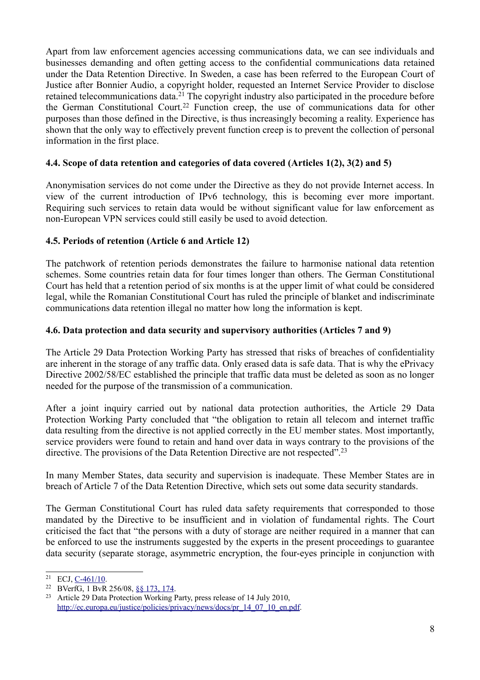Apart from law enforcement agencies accessing communications data, we can see individuals and businesses demanding and often getting access to the confidential communications data retained under the Data Retention Directive. In Sweden, a case has been referred to the European Court of Justice after Bonnier Audio, a copyright holder, requested an Internet Service Provider to disclose retained telecommunications data.<sup>[21](#page-7-0)</sup> The copyright industry also participated in the procedure before the German Constitutional Court.[22](#page-7-1) Function creep, the use of communications data for other purposes than those defined in the Directive, is thus increasingly becoming a reality. Experience has shown that the only way to effectively prevent function creep is to prevent the collection of personal information in the first place.

#### **4.4. Scope of data retention and categories of data covered (Articles 1(2), 3(2) and 5)**

Anonymisation services do not come under the Directive as they do not provide Internet access. In view of the current introduction of IPv6 technology, this is becoming ever more important. Requiring such services to retain data would be without significant value for law enforcement as non-European VPN services could still easily be used to avoid detection.

# **4.5. Periods of retention (Article 6 and Article 12)**

The patchwork of retention periods demonstrates the failure to harmonise national data retention schemes. Some countries retain data for four times longer than others. The German Constitutional Court has held that a retention period of six months is at the upper limit of what could be considered legal, while the Romanian Constitutional Court has ruled the principle of blanket and indiscriminate communications data retention illegal no matter how long the information is kept.

# **4.6. Data protection and data security and supervisory authorities (Articles 7 and 9)**

The Article 29 Data Protection Working Party has stressed that risks of breaches of confidentiality are inherent in the storage of any traffic data. Only erased data is safe data. That is why the ePrivacy Directive 2002/58/EC established the principle that traffic data must be deleted as soon as no longer needed for the purpose of the transmission of a communication.

After a joint inquiry carried out by national data protection authorities, the Article 29 Data Protection Working Party concluded that "the obligation to retain all telecom and internet traffic data resulting from the directive is not applied correctly in the EU member states. Most importantly, service providers were found to retain and hand over data in ways contrary to the provisions of the directive. The provisions of the Data Retention Directive are not respected".<sup>[23](#page-7-2)</sup>

In many Member States, data security and supervision is inadequate. These Member States are in breach of Article 7 of the Data Retention Directive, which sets out some data security standards.

The German Constitutional Court has ruled data safety requirements that corresponded to those mandated by the Directive to be insufficient and in violation of fundamental rights. The Court criticised the fact that "the persons with a duty of storage are neither required in a manner that can be enforced to use the instruments suggested by the experts in the present proceedings to guarantee data security (separate storage, asymmetric encryption, the four-eyes principle in conjunction with

<span id="page-7-0"></span> $21$  ECJ, [C-461/10.](http://eur-lex.europa.eu/LexUriServ/LexUriServ.do?uri=OJ:C:2010:317:0024:0024:EN:PDF)

<span id="page-7-1"></span><sup>22</sup> BVerfG, 1 BvR 256/08, [§§ 173, 174.](http://www.bverfg.de/entscheidungen/rs20100302_1bvr025608.html)

<span id="page-7-2"></span><sup>23</sup> Article 29 Data Protection Working Party, press release of 14 July 2010, [http://ec.europa.eu/justice/policies/privacy/news/docs/pr\\_14\\_07\\_10\\_en.pdf.](http://ec.europa.eu/justice/policies/privacy/news/docs/pr_14_07_10_en.pdf)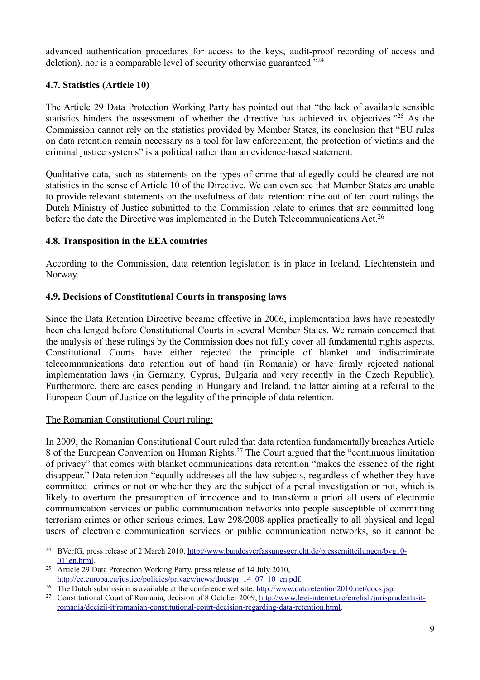advanced authentication procedures for access to the keys, audit-proof recording of access and deletion), nor is a comparable level of security otherwise guaranteed."<sup>[24](#page-8-0)</sup>

### **4.7. Statistics (Article 10)**

The Article 29 Data Protection Working Party has pointed out that "the lack of available sensible statistics hinders the assessment of whether the directive has achieved its objectives."<sup>[25](#page-8-1)</sup> As the Commission cannot rely on the statistics provided by Member States, its conclusion that "EU rules on data retention remain necessary as a tool for law enforcement, the protection of victims and the criminal justice systems" is a political rather than an evidence-based statement.

Qualitative data, such as statements on the types of crime that allegedly could be cleared are not statistics in the sense of Article 10 of the Directive. We can even see that Member States are unable to provide relevant statements on the usefulness of data retention: nine out of ten court rulings the Dutch Ministry of Justice submitted to the Commission relate to crimes that are committed long before the date the Directive was implemented in the Dutch Telecommunications Act.<sup>[26](#page-8-2)</sup>

#### **4.8. Transposition in the EEA countries**

According to the Commission, data retention legislation is in place in Iceland, Liechtenstein and Norway.

#### **4.9. Decisions of Constitutional Courts in transposing laws**

Since the Data Retention Directive became effective in 2006, implementation laws have repeatedly been challenged before Constitutional Courts in several Member States. We remain concerned that the analysis of these rulings by the Commission does not fully cover all fundamental rights aspects. Constitutional Courts have either rejected the principle of blanket and indiscriminate telecommunications data retention out of hand (in Romania) or have firmly rejected national implementation laws (in Germany, Cyprus, Bulgaria and very recently in the Czech Republic). Furthermore, there are cases pending in Hungary and Ireland, the latter aiming at a referral to the European Court of Justice on the legality of the principle of data retention.

#### The Romanian Constitutional Court ruling:

In 2009, the Romanian Constitutional Court ruled that data retention fundamentally breaches Article 8 of the European Convention on Human Rights.<sup>[27](#page-8-3)</sup> The Court argued that the "continuous limitation" of privacy" that comes with blanket communications data retention "makes the essence of the right disappear." Data retention "equally addresses all the law subjects, regardless of whether they have committed crimes or not or whether they are the subject of a penal investigation or not, which is likely to overturn the presumption of innocence and to transform a priori all users of electronic communication services or public communication networks into people susceptible of committing terrorism crimes or other serious crimes. Law 298/2008 applies practically to all physical and legal users of electronic communication services or public communication networks, so it cannot be

<span id="page-8-0"></span><sup>&</sup>lt;sup>24</sup> BVerfG, press release of 2 March 2010, [http://www.bundesverfassungsgericht.de/pressemitteilungen/bvg10-](http://www.bundesverfassungsgericht.de/pressemitteilungen/bvg10-011en.html) [011en.html.](http://www.bundesverfassungsgericht.de/pressemitteilungen/bvg10-011en.html)

<span id="page-8-1"></span><sup>&</sup>lt;sup>25</sup> Article 29 Data Protection Working Party, press release of 14 July 2010, [http://ec.europa.eu/justice/policies/privacy/news/docs/pr\\_14\\_07\\_10\\_en.pdf.](http://ec.europa.eu/justice/policies/privacy/news/docs/pr_14_07_10_en.pdf)

<span id="page-8-2"></span><sup>&</sup>lt;sup>26</sup> The Dutch submission is available at the conference website: [http://www.dataretention2010.net/docs.jsp.](http://www.dataretention2010.net/docs.jsp)

<span id="page-8-3"></span><sup>&</sup>lt;sup>27</sup> Constitutional Court of Romania, decision of 8 October 2009, [http://www.legi-internet.ro/english/jurisprudenta-it](http://www.legi-internet.ro/english/jurisprudenta-it-romania/decizii-it/romanian-constitutional-court-decision-regarding-data-retention.html)[romania/decizii-it/romanian-constitutional-court-decision-regarding-data-retention.html.](http://www.legi-internet.ro/english/jurisprudenta-it-romania/decizii-it/romanian-constitutional-court-decision-regarding-data-retention.html)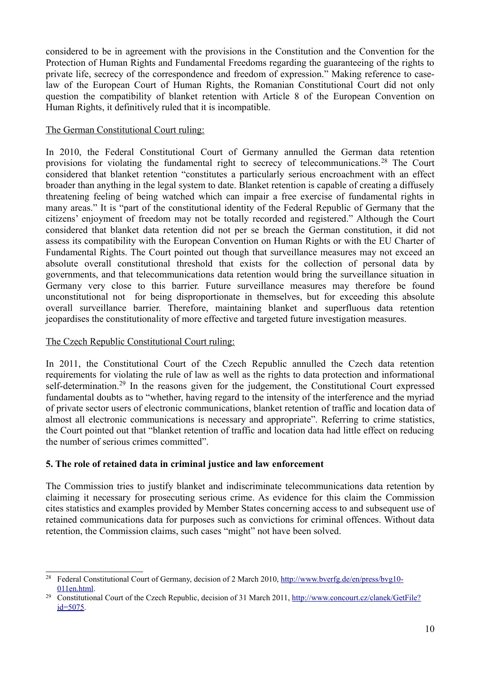considered to be in agreement with the provisions in the Constitution and the Convention for the Protection of Human Rights and Fundamental Freedoms regarding the guaranteeing of the rights to private life, secrecy of the correspondence and freedom of expression." Making reference to caselaw of the European Court of Human Rights, the Romanian Constitutional Court did not only question the compatibility of blanket retention with Article 8 of the European Convention on Human Rights, it definitively ruled that it is incompatible.

# The German Constitutional Court ruling:

In 2010, the Federal Constitutional Court of Germany annulled the German data retention provisions for violating the fundamental right to secrecy of telecommunications.[28](#page-9-0) The Court considered that blanket retention "constitutes a particularly serious encroachment with an effect broader than anything in the legal system to date. Blanket retention is capable of creating a diffusely threatening feeling of being watched which can impair a free exercise of fundamental rights in many areas." It is "part of the constitutional identity of the Federal Republic of Germany that the citizens' enjoyment of freedom may not be totally recorded and registered." Although the Court considered that blanket data retention did not per se breach the German constitution, it did not assess its compatibility with the European Convention on Human Rights or with the EU Charter of Fundamental Rights. The Court pointed out though that surveillance measures may not exceed an absolute overall constitutional threshold that exists for the collection of personal data by governments, and that telecommunications data retention would bring the surveillance situation in Germany very close to this barrier. Future surveillance measures may therefore be found unconstitutional not for being disproportionate in themselves, but for exceeding this absolute overall surveillance barrier. Therefore, maintaining blanket and superfluous data retention jeopardises the constitutionality of more effective and targeted future investigation measures.

#### The Czech Republic Constitutional Court ruling:

In 2011, the Constitutional Court of the Czech Republic annulled the Czech data retention requirements for violating the rule of law as well as the rights to data protection and informational self-determination.<sup>[29](#page-9-1)</sup> In the reasons given for the judgement, the Constitutional Court expressed fundamental doubts as to "whether, having regard to the intensity of the interference and the myriad of private sector users of electronic communications, blanket retention of traffic and location data of almost all electronic communications is necessary and appropriate". Referring to crime statistics, the Court pointed out that "blanket retention of traffic and location data had little effect on reducing the number of serious crimes committed".

#### **5. The role of retained data in criminal justice and law enforcement**

The Commission tries to justify blanket and indiscriminate telecommunications data retention by claiming it necessary for prosecuting serious crime. As evidence for this claim the Commission cites statistics and examples provided by Member States concerning access to and subsequent use of retained communications data for purposes such as convictions for criminal offences. Without data retention, the Commission claims, such cases "might" not have been solved.

<span id="page-9-0"></span><sup>&</sup>lt;sup>28</sup> Federal Constitutional Court of Germany, decision of 2 March 2010, [http://www.bverfg.de/en/press/bvg10-](http://www.bverfg.de/en/press/bvg10-011en.html) [011en.html.](http://www.bverfg.de/en/press/bvg10-011en.html)

<span id="page-9-1"></span><sup>&</sup>lt;sup>29</sup> Constitutional Court of the Czech Republic, decision of 31 March 2011, [http://www.concourt.cz/clanek/GetFile?](http://www.concourt.cz/clanek/GetFile?id=5075) [id=5075.](http://www.concourt.cz/clanek/GetFile?id=5075)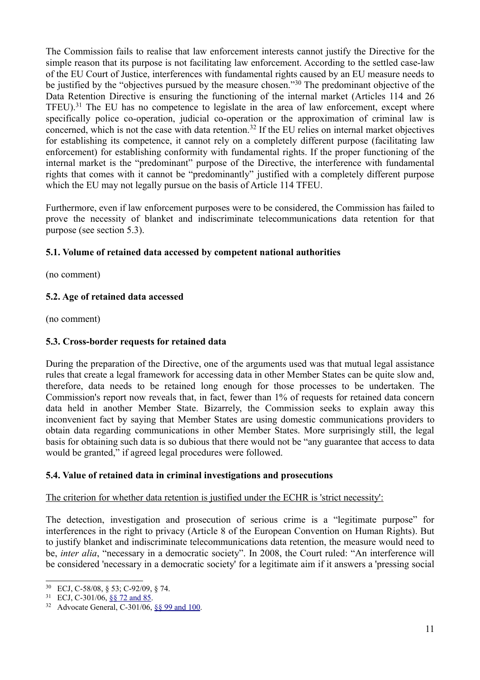The Commission fails to realise that law enforcement interests cannot justify the Directive for the simple reason that its purpose is not facilitating law enforcement. According to the settled case-law of the EU Court of Justice, interferences with fundamental rights caused by an EU measure needs to be justified by the "objectives pursued by the measure chosen."[30](#page-10-0) The predominant objective of the Data Retention Directive is ensuring the functioning of the internal market (Articles 114 and 26 TFEU).[31](#page-10-1) The EU has no competence to legislate in the area of law enforcement, except where specifically police co-operation, judicial co-operation or the approximation of criminal law is concerned, which is not the case with data retention.<sup>[32](#page-10-2)</sup> If the EU relies on internal market objectives for establishing its competence, it cannot rely on a completely different purpose (facilitating law enforcement) for establishing conformity with fundamental rights. If the proper functioning of the internal market is the "predominant" purpose of the Directive, the interference with fundamental rights that comes with it cannot be "predominantly" justified with a completely different purpose which the EU may not legally pursue on the basis of Article 114 TFEU.

Furthermore, even if law enforcement purposes were to be considered, the Commission has failed to prove the necessity of blanket and indiscriminate telecommunications data retention for that purpose (see section 5.3).

# **5.1. Volume of retained data accessed by competent national authorities**

(no comment)

# **5.2. Age of retained data accessed**

(no comment)

#### **5.3. Cross-border requests for retained data**

During the preparation of the Directive, one of the arguments used was that mutual legal assistance rules that create a legal framework for accessing data in other Member States can be quite slow and, therefore, data needs to be retained long enough for those processes to be undertaken. The Commission's report now reveals that, in fact, fewer than 1% of requests for retained data concern data held in another Member State. Bizarrely, the Commission seeks to explain away this inconvenient fact by saying that Member States are using domestic communications providers to obtain data regarding communications in other Member States. More surprisingly still, the legal basis for obtaining such data is so dubious that there would not be "any guarantee that access to data would be granted," if agreed legal procedures were followed.

#### **5.4. Value of retained data in criminal investigations and prosecutions**

# The criterion for whether data retention is justified under the ECHR is 'strict necessity':

The detection, investigation and prosecution of serious crime is a "legitimate purpose" for interferences in the right to privacy (Article 8 of the European Convention on Human Rights). But to justify blanket and indiscriminate telecommunications data retention, the measure would need to be, *inter alia*, "necessary in a democratic society". In 2008, the Court ruled: "An interference will be considered 'necessary in a democratic society' for a legitimate aim if it answers a 'pressing social

<span id="page-10-0"></span><sup>30</sup> ECJ, C-58/08, § 53; C-92/09, § 74.

<span id="page-10-1"></span><sup>31</sup> ECJ, C-301/06, [§§ 72 and 85.](http://curia.europa.eu/jurisp/cgi-bin/gettext.pl?lang=en&num=79909789C19060301&doc=T&ouvert=T&seance=ARRET)

<span id="page-10-2"></span><sup>32</sup> Advocate General, C-301/06, [§§ 99 and 100.](http://curia.europa.eu/jurisp/cgi-bin/gettext.pl?lang=en&num=79918985C19060301&doc=T&ouvert=T&seance=CONCL)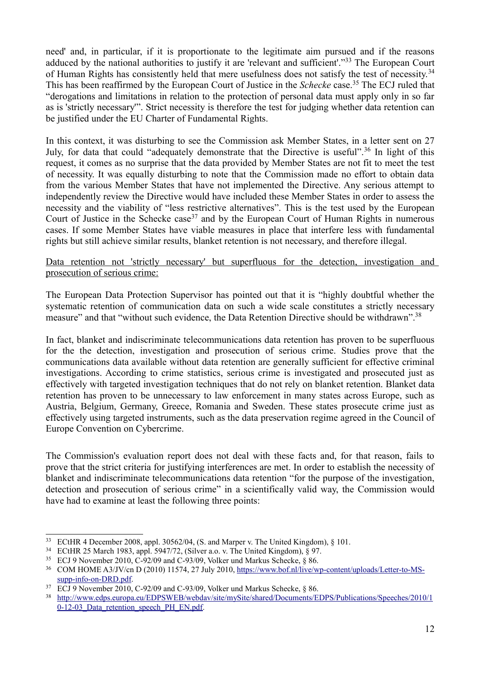need' and, in particular, if it is proportionate to the legitimate aim pursued and if the reasons adduced by the national authorities to justify it are 'relevant and sufficient'."[33](#page-11-0) The European Court of Human Rights has consistently held that mere usefulness does not satisfy the test of necessity.<sup>[34](#page-11-1)</sup> This has been reaffirmed by the European Court of Justice in the *Schecke* case.[35](#page-11-2) The ECJ ruled that "derogations and limitations in relation to the protection of personal data must apply only in so far as is 'strictly necessary'". Strict necessity is therefore the test for judging whether data retention can be justified under the EU Charter of Fundamental Rights.

In this context, it was disturbing to see the Commission ask Member States, in a letter sent on 27 July, for data that could "adequately demonstrate that the Directive is useful".<sup>[36](#page-11-3)</sup> In light of this request, it comes as no surprise that the data provided by Member States are not fit to meet the test of necessity. It was equally disturbing to note that the Commission made no effort to obtain data from the various Member States that have not implemented the Directive. Any serious attempt to independently review the Directive would have included these Member States in order to assess the necessity and the viability of "less restrictive alternatives". This is the test used by the European Court of Justice in the Schecke case<sup>[37](#page-11-4)</sup> and by the European Court of Human Rights in numerous cases. If some Member States have viable measures in place that interfere less with fundamental rights but still achieve similar results, blanket retention is not necessary, and therefore illegal.

#### Data retention not 'strictly necessary' but superfluous for the detection, investigation and prosecution of serious crime:

The European Data Protection Supervisor has pointed out that it is "highly doubtful whether the systematic retention of communication data on such a wide scale constitutes a strictly necessary measure" and that "without such evidence, the Data Retention Directive should be withdrawn".<sup>[38](#page-11-5)</sup>

In fact, blanket and indiscriminate telecommunications data retention has proven to be superfluous for the the detection, investigation and prosecution of serious crime. Studies prove that the communications data available without data retention are generally sufficient for effective criminal investigations. According to crime statistics, serious crime is investigated and prosecuted just as effectively with targeted investigation techniques that do not rely on blanket retention. Blanket data retention has proven to be unnecessary to law enforcement in many states across Europe, such as Austria, Belgium, Germany, Greece, Romania and Sweden. These states prosecute crime just as effectively using targeted instruments, such as the data preservation regime agreed in the Council of Europe Convention on Cybercrime.

The Commission's evaluation report does not deal with these facts and, for that reason, fails to prove that the strict criteria for justifying interferences are met. In order to establish the necessity of blanket and indiscriminate telecommunications data retention "for the purpose of the investigation, detection and prosecution of serious crime" in a scientifically valid way, the Commission would have had to examine at least the following three points:

<span id="page-11-0"></span><sup>33</sup> ECtHR 4 December 2008, appl. 30562/04, (S. and Marper v. The United Kingdom), § 101.

<span id="page-11-1"></span><sup>34</sup> ECtHR 25 March 1983, appl. 5947/72, (Silver a.o. v. The United Kingdom), § 97.

<span id="page-11-2"></span><sup>35</sup> ECJ 9 November 2010, C-92/09 and C-93/09, Volker und Markus Schecke, § 86.

<span id="page-11-3"></span><sup>36</sup> COM HOME A3/JV/cn D (2010) 11574, 27 July 2010, [https://www.bof.nl/live/wp-content/uploads/Letter-to-MS](https://www.bof.nl/live/wp-content/uploads/Letter-to-MS-supp-info-on-DRD.pdf)[supp-info-on-DRD.pdf.](https://www.bof.nl/live/wp-content/uploads/Letter-to-MS-supp-info-on-DRD.pdf)

<span id="page-11-4"></span> $37$  ECJ 9 November 2010, C-92/09 and C-93/09, Volker und Markus Schecke,  $\delta$  86.

<span id="page-11-5"></span><sup>38</sup>  [http://www.edps.europa.eu/EDPSWEB/webdav/site/mySite/shared/Documents/EDPS/Publications/Speeches/2010/1](http://www.edps.europa.eu/EDPSWEB/webdav/site/mySite/shared/Documents/EDPS/Publications/Speeches/2010/10-12-03_Data_retention_speech_PH_EN.pdf) 0-12-03 Data retention speech PH\_EN.pdf.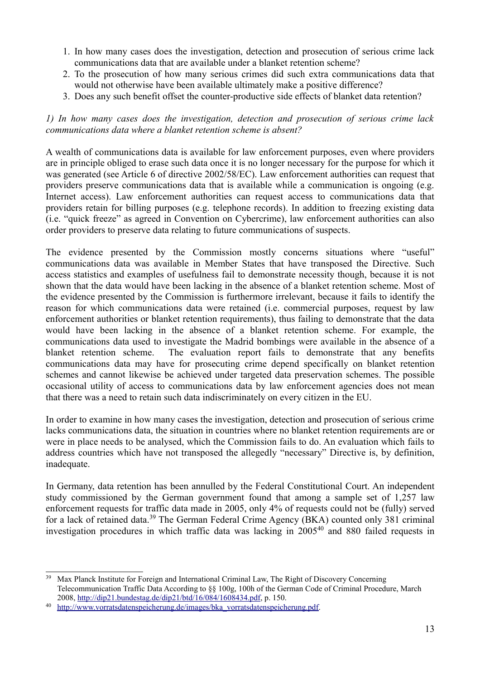- 1. In how many cases does the investigation, detection and prosecution of serious crime lack communications data that are available under a blanket retention scheme?
- 2. To the prosecution of how many serious crimes did such extra communications data that would not otherwise have been available ultimately make a positive difference?
- 3. Does any such benefit offset the counter-productive side effects of blanket data retention?

#### *1) In how many cases does the investigation, detection and prosecution of serious crime lack communications data where a blanket retention scheme is absent?*

A wealth of communications data is available for law enforcement purposes, even where providers are in principle obliged to erase such data once it is no longer necessary for the purpose for which it was generated (see Article 6 of directive 2002/58/EC). Law enforcement authorities can request that providers preserve communications data that is available while a communication is ongoing (e.g. Internet access). Law enforcement authorities can request access to communications data that providers retain for billing purposes (e.g. telephone records). In addition to freezing existing data (i.e. "quick freeze" as agreed in Convention on Cybercrime), law enforcement authorities can also order providers to preserve data relating to future communications of suspects.

The evidence presented by the Commission mostly concerns situations where "useful" communications data was available in Member States that have transposed the Directive. Such access statistics and examples of usefulness fail to demonstrate necessity though, because it is not shown that the data would have been lacking in the absence of a blanket retention scheme. Most of the evidence presented by the Commission is furthermore irrelevant, because it fails to identify the reason for which communications data were retained (i.e. commercial purposes, request by law enforcement authorities or blanket retention requirements), thus failing to demonstrate that the data would have been lacking in the absence of a blanket retention scheme. For example, the communications data used to investigate the Madrid bombings were available in the absence of a blanket retention scheme. The evaluation report fails to demonstrate that any benefits communications data may have for prosecuting crime depend specifically on blanket retention schemes and cannot likewise be achieved under targeted data preservation schemes. The possible occasional utility of access to communications data by law enforcement agencies does not mean that there was a need to retain such data indiscriminately on every citizen in the EU.

In order to examine in how many cases the investigation, detection and prosecution of serious crime lacks communications data, the situation in countries where no blanket retention requirements are or were in place needs to be analysed, which the Commission fails to do. An evaluation which fails to address countries which have not transposed the allegedly "necessary" Directive is, by definition, inadequate.

In Germany, data retention has been annulled by the Federal Constitutional Court. An independent study commissioned by the German government found that among a sample set of 1,257 law enforcement requests for traffic data made in 2005, only 4% of requests could not be (fully) served for a lack of retained data.[39](#page-12-0) The German Federal Crime Agency (BKA) counted only 381 criminal investigation procedures in which traffic data was lacking in 2005[40](#page-12-1) and 880 failed requests in

<span id="page-12-0"></span><sup>39</sup> Max Planck Institute for Foreign and International Criminal Law, The Right of Discovery Concerning Telecommunication Traffic Data According to §§ 100g, 100h of the German Code of Criminal Procedure, March 2008, [http://dip21.bundestag.de/dip21/btd/16/084/1608434.pdf,](http://dip21.bundestag.de/dip21/btd/16/084/1608434.pdf) p. 150.

<span id="page-12-1"></span><sup>&</sup>lt;sup>40</sup> [http://www.vorratsdatenspeicherung.de/images/bka\\_vorratsdatenspeicherung.pdf.](http://www.vorratsdatenspeicherung.de/images/bka_vorratsdatenspeicherung.pdf)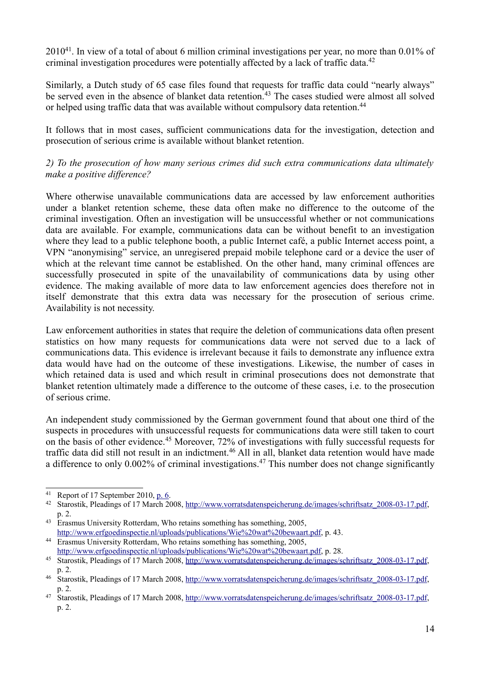2010[41](#page-13-0). In view of a total of about 6 million criminal investigations per year, no more than 0.01% of criminal investigation procedures were potentially affected by a lack of traffic data.<sup>[42](#page-13-1)</sup>

Similarly, a Dutch study of 65 case files found that requests for traffic data could "nearly always" be served even in the absence of blanket data retention.<sup>[43](#page-13-2)</sup> The cases studied were almost all solved or helped using traffic data that was available without compulsory data retention.<sup>[44](#page-13-3)</sup>

It follows that in most cases, sufficient communications data for the investigation, detection and prosecution of serious crime is available without blanket retention.

#### *2) To the prosecution of how many serious crimes did such extra communications data ultimately make a positive difference?*

Where otherwise unavailable communications data are accessed by law enforcement authorities under a blanket retention scheme, these data often make no difference to the outcome of the criminal investigation. Often an investigation will be unsuccessful whether or not communications data are available. For example, communications data can be without benefit to an investigation where they lead to a public telephone booth, a public Internet café, a public Internet access point, a VPN "anonymising" service, an unregisered prepaid mobile telephone card or a device the user of which at the relevant time cannot be established. On the other hand, many criminal offences are successfully prosecuted in spite of the unavailability of communications data by using other evidence. The making available of more data to law enforcement agencies does therefore not in itself demonstrate that this extra data was necessary for the prosecution of serious crime. Availability is not necessity.

Law enforcement authorities in states that require the deletion of communications data often present statistics on how many requests for communications data were not served due to a lack of communications data. This evidence is irrelevant because it fails to demonstrate any influence extra data would have had on the outcome of these investigations. Likewise, the number of cases in which retained data is used and which result in criminal prosecutions does not demonstrate that blanket retention ultimately made a difference to the outcome of these cases, i.e. to the prosecution of serious crime.

An independent study commissioned by the German government found that about one third of the suspects in procedures with unsuccessful requests for communications data were still taken to court on the basis of other evidence.[45](#page-13-4) Moreover, 72% of investigations with fully successful requests for traffic data did still not result in an indictment.<sup>[46](#page-13-5)</sup> All in all, blanket data retention would have made a difference to only  $0.002\%$  of criminal investigations.<sup>[47](#page-13-6)</sup> This number does not change significantly

<span id="page-13-0"></span><sup>&</sup>lt;sup>41</sup> Report of 17 September 2010, [p. 6.](http://www.bundesrat.de/cln_179/DE/gremien-konf/fachministerkonf/imk/Sitzungen/10-11-19/anlage10,templateId=raw,property=publicationFile.pdf/anlage10.pdf)<br><sup>42</sup> Starostik Pleadings of 17 March 20

<span id="page-13-1"></span><sup>42</sup> Starostik, Pleadings of 17 March 2008, [http://www.vorratsdatenspeicherung.de/images/schriftsatz\\_2008-03-17.pdf,](http://www.vorratsdatenspeicherung.de/images/schriftsatz_2008-03-17.pdf) p. 2.

<span id="page-13-2"></span><sup>&</sup>lt;sup>43</sup> Erasmus University Rotterdam, Who retains something has something, 2005, [http://www.erfgoedinspectie.nl/uploads/publications/Wie%20wat%20bewaart.pdf,](http://www.erfgoedinspectie.nl/uploads/publications/Wie%20wat%20bewaart.pdf) p. 43.

<span id="page-13-3"></span><sup>44</sup> Erasmus University Rotterdam, Who retains something has something, 2005, [http://www.erfgoedinspectie.nl/uploads/publications/Wie%20wat%20bewaart.pdf,](http://www.erfgoedinspectie.nl/uploads/publications/Wie%20wat%20bewaart.pdf) p. 28.

<span id="page-13-4"></span><sup>45</sup> Starostik, Pleadings of 17 March 2008, [http://www.vorratsdatenspeicherung.de/images/schriftsatz\\_2008-03-17.pdf,](http://www.vorratsdatenspeicherung.de/images/schriftsatz_2008-03-17.pdf) p. 2.

<span id="page-13-5"></span><sup>&</sup>lt;sup>46</sup> Starostik, Pleadings of 17 March 2008, [http://www.vorratsdatenspeicherung.de/images/schriftsatz\\_2008-03-17.pdf,](http://www.vorratsdatenspeicherung.de/images/schriftsatz_2008-03-17.pdf) p. 2.

<span id="page-13-6"></span><sup>&</sup>lt;sup>47</sup> Starostik, Pleadings of 17 March 2008, [http://www.vorratsdatenspeicherung.de/images/schriftsatz\\_2008-03-17.pdf,](http://www.vorratsdatenspeicherung.de/images/schriftsatz_2008-03-17.pdf) p. 2.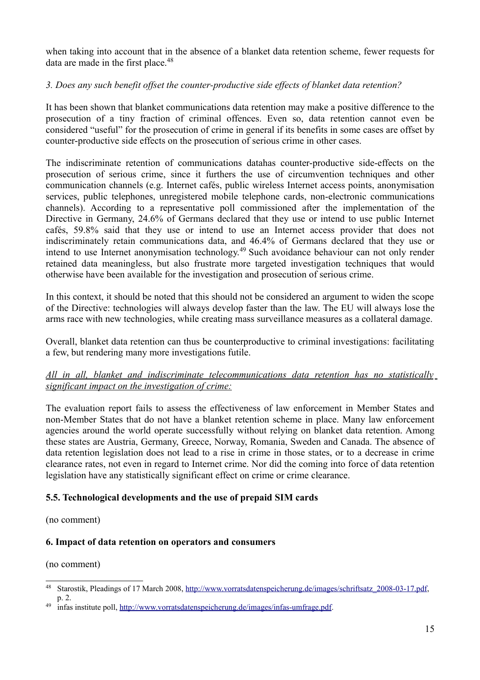when taking into account that in the absence of a blanket data retention scheme, fewer requests for data are made in the first place.<sup>[48](#page-14-0)</sup>

# *3. Does any such benefit offset the counter-productive side effects of blanket data retention?*

It has been shown that blanket communications data retention may make a positive difference to the prosecution of a tiny fraction of criminal offences. Even so, data retention cannot even be considered "useful" for the prosecution of crime in general if its benefits in some cases are offset by counter-productive side effects on the prosecution of serious crime in other cases.

The indiscriminate retention of communications datahas counter-productive side-effects on the prosecution of serious crime, since it furthers the use of circumvention techniques and other communication channels (e.g. Internet cafés, public wireless Internet access points, anonymisation services, public telephones, unregistered mobile telephone cards, non-electronic communications channels). According to a representative poll commissioned after the implementation of the Directive in Germany, 24.6% of Germans declared that they use or intend to use public Internet cafés, 59.8% said that they use or intend to use an Internet access provider that does not indiscriminately retain communications data, and 46.4% of Germans declared that they use or intend to use Internet anonymisation technology.[49](#page-14-1) Such avoidance behaviour can not only render retained data meaningless, but also frustrate more targeted investigation techniques that would otherwise have been available for the investigation and prosecution of serious crime.

In this context, it should be noted that this should not be considered an argument to widen the scope of the Directive: technologies will always develop faster than the law. The EU will always lose the arms race with new technologies, while creating mass surveillance measures as a collateral damage.

Overall, blanket data retention can thus be counterproductive to criminal investigations: facilitating a few, but rendering many more investigations futile.

#### *All in all, blanket and indiscriminate telecommunications data retention has no statistically significant impact on the investigation of crime:*

The evaluation report fails to assess the effectiveness of law enforcement in Member States and non-Member States that do not have a blanket retention scheme in place. Many law enforcement agencies around the world operate successfully without relying on blanket data retention. Among these states are Austria, Germany, Greece, Norway, Romania, Sweden and Canada. The absence of data retention legislation does not lead to a rise in crime in those states, or to a decrease in crime clearance rates, not even in regard to Internet crime. Nor did the coming into force of data retention legislation have any statistically significant effect on crime or crime clearance.

# **5.5. Technological developments and the use of prepaid SIM cards**

(no comment)

#### **6. Impact of data retention on operators and consumers**

(no comment)

<span id="page-14-0"></span><sup>48</sup> Starostik, Pleadings of 17 March 2008, [http://www.vorratsdatenspeicherung.de/images/schriftsatz\\_2008-03-17.pdf,](http://www.vorratsdatenspeicherung.de/images/schriftsatz_2008-03-17.pdf) p. 2.

<span id="page-14-1"></span><sup>&</sup>lt;sup>49</sup> infas institute poll, [http://www.vorratsdatenspeicherung.de/images/infas-umfrage.pdf.](http://www.vorratsdatenspeicherung.de/images/infas-umfrage.pdf)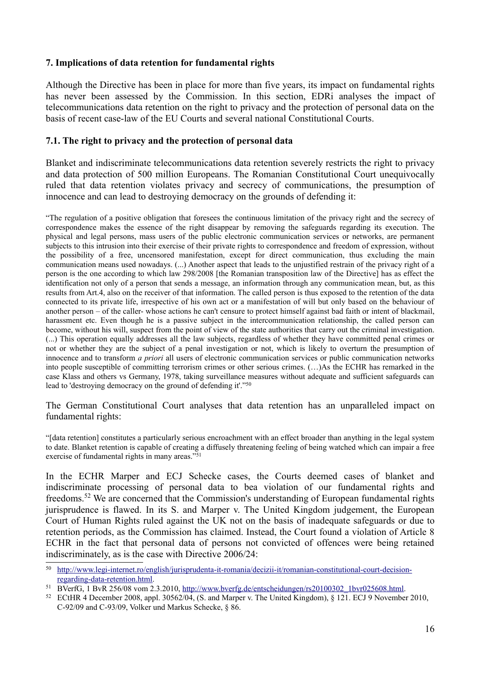#### **7. Implications of data retention for fundamental rights**

Although the Directive has been in place for more than five years, its impact on fundamental rights has never been assessed by the Commission. In this section, EDRi analyses the impact of telecommunications data retention on the right to privacy and the protection of personal data on the basis of recent case-law of the EU Courts and several national Constitutional Courts.

#### **7.1. The right to privacy and the protection of personal data**

Blanket and indiscriminate telecommunications data retention severely restricts the right to privacy and data protection of 500 million Europeans. The Romanian Constitutional Court unequivocally ruled that data retention violates privacy and secrecy of communications, the presumption of innocence and can lead to destroying democracy on the grounds of defending it:

"The regulation of a positive obligation that foresees the continuous limitation of the privacy right and the secrecy of correspondence makes the essence of the right disappear by removing the safeguards regarding its execution. The physical and legal persons, mass users of the public electronic communication services or networks, are permanent subjects to this intrusion into their exercise of their private rights to correspondence and freedom of expression, without the possibility of a free, uncensored manifestation, except for direct communication, thus excluding the main communication means used nowadays. (...) Another aspect that leads to the unjustified restrain of the privacy right of a person is the one according to which law 298/2008 [the Romanian transposition law of the Directive] has as effect the identification not only of a person that sends a message, an information through any communication mean, but, as this results from Art.4, also on the receiver of that information. The called person is thus exposed to the retention of the data connected to its private life, irrespective of his own act or a manifestation of will but only based on the behaviour of another person – of the caller- whose actions he can't censure to protect himself against bad faith or intent of blackmail, harassment etc. Even though he is a passive subject in the intercommunication relationship, the called person can become, without his will, suspect from the point of view of the state authorities that carry out the criminal investigation. (...) This operation equally addresses all the law subjects, regardless of whether they have committed penal crimes or not or whether they are the subject of a penal investigation or not, which is likely to overturn the presumption of innocence and to transform *a priori* all users of electronic communication services or public communication networks into people susceptible of committing terrorism crimes or other serious crimes. (…)As the ECHR has remarked in the case Klass and others vs Germany, 1978, taking surveillance measures without adequate and sufficient safeguards can lead to 'destroying democracy on the ground of defending it'."[50](#page-15-0)

The German Constitutional Court analyses that data retention has an unparalleled impact on fundamental rights:

"[data retention] constitutes a particularly serious encroachment with an effect broader than anything in the legal system to date. Blanket retention is capable of creating a diffusely threatening feeling of being watched which can impair a free exercise of fundamental rights in many areas."[51](#page-15-1)

In the ECHR Marper and ECJ Schecke cases, the Courts deemed cases of blanket and indiscriminate processing of personal data to bea violation of our fundamental rights and freedoms.[52](#page-15-2) We are concerned that the Commission's understanding of European fundamental rights jurisprudence is flawed. In its S. and Marper v. The United Kingdom judgement, the European Court of Human Rights ruled against the UK not on the basis of inadequate safeguards or due to retention periods, as the Commission has claimed. Instead, the Court found a violation of Article 8 ECHR in the fact that personal data of persons not convicted of offences were being retained indiscriminately, as is the case with Directive 2006/24:

<span id="page-15-0"></span><sup>50</sup>  [http://www.legi-internet.ro/english/jurisprudenta-it-romania/decizii-it/romanian-constitutional-court-decision](http://www.legi-internet.ro/english/jurisprudenta-it-romania/decizii-it/romanian-constitutional-court-decision-regarding-data-retention.html)[regarding-data-retention.html.](http://www.legi-internet.ro/english/jurisprudenta-it-romania/decizii-it/romanian-constitutional-court-decision-regarding-data-retention.html)

<span id="page-15-1"></span><sup>51</sup> BVerfG, 1 BvR 256/08 vom 2.3.2010, [http://www.bverfg.de/entscheidungen/rs20100302\\_1bvr025608.html.](http://www.bverfg.de/entscheidungen/rs20100302_1bvr025608.html)

<span id="page-15-2"></span><sup>&</sup>lt;sup>52</sup> ECtHR 4 December 2008, appl.  $30562/04$ , (S. and Marper v. The United Kingdom), § 121. ECJ 9 November 2010, C-92/09 and C-93/09, Volker und Markus Schecke, § 86.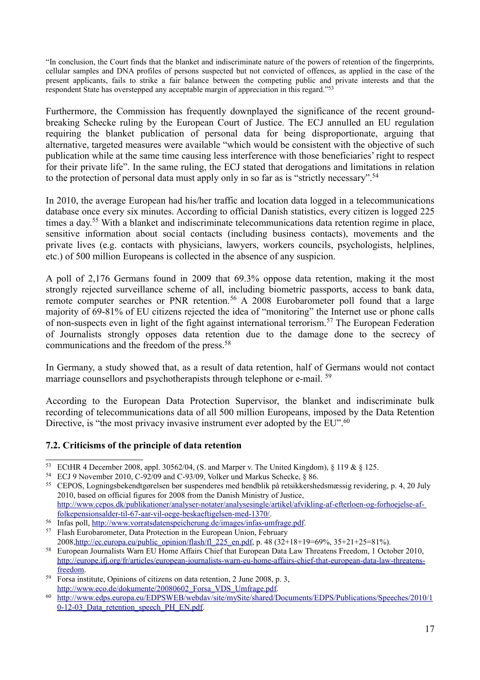"In conclusion, the Court finds that the blanket and indiscriminate nature of the powers of retention of the fingerprints, cellular samples and DNA profiles of persons suspected but not convicted of offences, as applied in the case of the present applicants, fails to strike a fair balance between the competing public and private interests and that the respondent State has overstepped any acceptable margin of appreciation in this regard."[53](#page-16-0)

Furthermore, the Commission has frequently downplayed the significance of the recent groundbreaking Schecke ruling by the European Court of Justice. The ECJ annulled an EU regulation requiring the blanket publication of personal data for being disproportionate, arguing that alternative, targeted measures were available "which would be consistent with the objective of such publication while at the same time causing less interference with those beneficiaries' right to respect for their private life". In the same ruling, the ECJ stated that derogations and limitations in relation to the protection of personal data must apply only in so far as is "strictly necessary".<sup>[54](#page-16-1)</sup>

In 2010, the average European had his/her traffic and location data logged in a telecommunications database once every six minutes. According to official Danish statistics, every citizen is logged 225 times a day.<sup>[55](#page-16-2)</sup> With a blanket and indiscriminate telecommunications data retention regime in place, sensitive information about social contacts (including business contacts), movements and the private lives (e.g. contacts with physicians, lawyers, workers councils, psychologists, helplines, etc.) of 500 million Europeans is collected in the absence of any suspicion.

A poll of 2,176 Germans found in 2009 that 69.3% oppose data retention, making it the most strongly rejected surveillance scheme of all, including biometric passports, access to bank data, remote computer searches or PNR retention.<sup>[56](#page-16-3)</sup> A 2008 Eurobarometer poll found that a large majority of 69-81% of EU citizens rejected the idea of "monitoring" the Internet use or phone calls of non-suspects even in light of the fight against international terrorism.[57](#page-16-4) The European Federation of Journalists strongly opposes data retention due to the damage done to the secrecy of communications and the freedom of the press.[58](#page-16-5)

In Germany, a study showed that, as a result of data retention, half of Germans would not contact marriage counsellors and psychotherapists through telephone or e-mail. <sup>[59](#page-16-6)</sup>

According to the European Data Protection Supervisor, the blanket and indiscriminate bulk recording of telecommunications data of all 500 million Europeans, imposed by the Data Retention Directive, is "the most privacy invasive instrument ever adopted by the EU".<sup>[60](#page-16-7)</sup>

#### **7.2. Criticisms of the principle of data retention**

<span id="page-16-3"></span><sup>56</sup> Infas poll, [http://www.vorratsdatenspeicherung.de/images/infas-umfrage.pdf.](http://www.vorratsdatenspeicherung.de/images/infas-umfrage.pdf)

<span id="page-16-0"></span><sup>&</sup>lt;sup>53</sup> ECtHR 4 December 2008, appl. 30562/04, (S. and Marper v. The United Kingdom),  $\S$  119 &  $\S$  125.

<span id="page-16-1"></span><sup>54</sup> ECJ 9 November 2010, C-92/09 and C-93/09, Volker und Markus Schecke, § 86.

<span id="page-16-2"></span><sup>55</sup> CEPOS, Logningsbekendtgørelsen bør suspenderes med hendblik på retsikkershedsmæssig revidering, p. 4, 20 July 2010, based on official figures for 2008 from the Danish Ministry of Justice, [http://www.cepos.dk/publikationer/analyser-notater/analysesingle/artikel/afvikling-af-efterloen-og-forhoejelse-af](http://www.cepos.dk/publikationer/analyser-notater/analysesingle/artikel/afvikling-af-efterloen-og-forhoejelse-af-%20folkepensionsalder-til-67-aar-vil-oege-beskaeftigelsen-med-1370/)[folkepensionsalder-til-67-aar-vil-oege-beskaeftigelsen-med-1370/.](http://www.cepos.dk/publikationer/analyser-notater/analysesingle/artikel/afvikling-af-efterloen-og-forhoejelse-af-%20folkepensionsalder-til-67-aar-vil-oege-beskaeftigelsen-med-1370/)

<span id="page-16-4"></span><sup>57</sup> Flash Eurobarometer, Data Protection in the European Union, February

<sup>2008</sup>[,http://ec.europa.eu/public\\_opinion/flash/fl\\_225\\_en.pdf,](http://ec.europa.eu/public_opinion/flash/fl_225_en.pdf) p. 48 (32+18+19=69%, 35+21+25=81%).

<span id="page-16-5"></span><sup>58</sup> European Journalists Warn EU Home Affairs Chief that European Data Law Threatens Freedom, 1 October 2010, [http://europe.ifj.org/fr/articles/european-journalists-warn-eu-home-affairs-chief-that-european-data-law-threatens](http://europe.ifj.org/fr/articles/european-journalists-warn-eu-home-affairs-chief-that-european-data-law-threatens-freedom)[freedom.](http://europe.ifj.org/fr/articles/european-journalists-warn-eu-home-affairs-chief-that-european-data-law-threatens-freedom)

<span id="page-16-6"></span><sup>59</sup> Forsa institute, Opinions of citizens on data retention, 2 June 2008, p. 3, [http://www.eco.de/dokumente/20080602\\_Forsa\\_VDS\\_Umfrage.pdf.](http://www.eco.de/dokumente/20080602_Forsa_VDS_Umfrage.pdf)

<span id="page-16-7"></span><sup>60</sup>  [http://www.edps.europa.eu/EDPSWEB/webdav/site/mySite/shared/Documents/EDPS/Publications/Speeches/2010/1](http://www.edps.europa.eu/EDPSWEB/webdav/site/mySite/shared/Documents/EDPS/Publications/Speeches/2010/10-12-03_Data_retention_speech_PH_EN.pdf) 0-12-03 Data retention speech PH\_EN.pdf.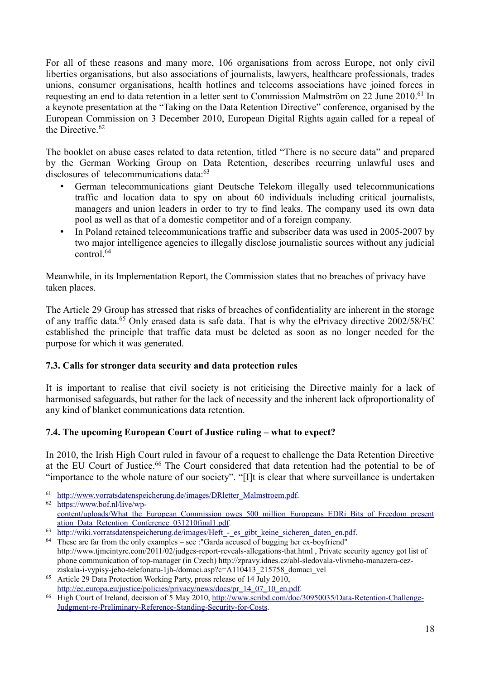For all of these reasons and many more, 106 organisations from across Europe, not only civil liberties organisations, but also associations of journalists, lawyers, healthcare professionals, trades unions, consumer organisations, health hotlines and telecoms associations have joined forces in requesting an end to data retention in a letter sent to Commission Malmström on 22 June 2010.<sup>[61](#page-17-0)</sup> In a keynote presentation at the "Taking on the Data Retention Directive" conference, organised by the European Commission on 3 December 2010, European Digital Rights again called for a repeal of the Directive. $62$ 

The booklet on abuse cases related to data retention, titled "There is no secure data" and prepared by the German Working Group on Data Retention, describes recurring unlawful uses and disclosures of telecommunications data:<sup>[63](#page-17-2)</sup>

- German telecommunications giant Deutsche Telekom illegally used telecommunications traffic and location data to spy on about 60 individuals including critical journalists, managers and union leaders in order to try to find leaks. The company used its own data pool as well as that of a domestic competitor and of a foreign company.
- In Poland retained telecommunications traffic and subscriber data was used in 2005-2007 by two major intelligence agencies to illegally disclose journalistic sources without any judicial  $control<sup>64</sup>$  $control<sup>64</sup>$  $control<sup>64</sup>$

Meanwhile, in its Implementation Report, the Commission states that no breaches of privacy have taken places.

The Article 29 Group has stressed that risks of breaches of confidentiality are inherent in the storage of any traffic data.[65](#page-17-4) Only erased data is safe data. That is why the ePrivacy directive 2002/58/EC established the principle that traffic data must be deleted as soon as no longer needed for the purpose for which it was generated.

# **7.3. Calls for stronger data security and data protection rules**

It is important to realise that civil society is not criticising the Directive mainly for a lack of harmonised safeguards, but rather for the lack of necessity and the inherent lack ofproportionality of any kind of blanket communications data retention.

# **7.4. The upcoming European Court of Justice ruling – what to expect?**

In 2010, the Irish High Court ruled in favour of a request to challenge the Data Retention Directive at the EU Court of Justice.<sup>[66](#page-17-5)</sup> The Court considered that data retention had the potential to be of "importance to the whole nature of our society". "[I]t is clear that where surveillance is undertaken

<span id="page-17-0"></span><sup>61</sup>  [http://www.vorratsdatenspeicherung.de/images/DRletter\\_Malmstroem.pdf.](http://www.vorratsdatenspeicherung.de/images/DRletter_Malmstroem.pdf)

<span id="page-17-1"></span><sup>62</sup> [https://www.bof.nl/live/wp](https://www.bof.nl/live/wp-content/uploads/What_the_European_Commission_owes_500_million_Europeans_EDRi_Bits_of_Freedom_presentation_Data_Retention_Conference_031210final1.pdf)[content/uploads/What\\_the\\_European\\_Commission\\_owes\\_500\\_million\\_Europeans\\_EDRi\\_Bits\\_of\\_Freedom\\_present](https://www.bof.nl/live/wp-content/uploads/What_the_European_Commission_owes_500_million_Europeans_EDRi_Bits_of_Freedom_presentation_Data_Retention_Conference_031210final1.pdf) [ation\\_Data\\_Retention\\_Conference\\_031210final1.pdf.](https://www.bof.nl/live/wp-content/uploads/What_the_European_Commission_owes_500_million_Europeans_EDRi_Bits_of_Freedom_presentation_Data_Retention_Conference_031210final1.pdf)

<span id="page-17-2"></span><sup>63</sup> http://wiki.vorratsdatenspeicherung.de/images/Heft - es\_gibt\_keine\_sicheren\_daten\_en.pdf.

<span id="page-17-3"></span><sup>64</sup> These are far from the only examples – see :"Garda accused of bugging her ex-boyfriend" http://www.tjmcintyre.com/2011/02/judges-report-reveals-allegations-that.html , Private security agency got list of phone communication of top-manager (in Czech) http://zpravy.idnes.cz/abl-sledovala-vlivneho-manazera-cezziskala-i-vypisy-jeho-telefonatu-1jh-/domaci.asp?c=A110413\_215758\_domaci\_vel

<span id="page-17-4"></span><sup>65</sup> Article 29 Data Protection Working Party, press release of 14 July 2010, [http://ec.europa.eu/justice/policies/privacy/news/docs/pr\\_14\\_07\\_10\\_en.pdf.](http://ec.europa.eu/justice/policies/privacy/news/docs/pr_14_07_10_en.pdf)

<span id="page-17-5"></span><sup>&</sup>lt;sup>66</sup> High Court of Ireland, decision of 5 May 2010, [http://www.scribd.com/doc/30950035/Data-Retention-Challenge-](http://www.scribd.com/doc/30950035/Data-Retention-Challenge-Judgment-re-Preliminary-Reference-Standing-Security-for-Costs)[Judgment-re-Preliminary-Reference-Standing-Security-for-Costs.](http://www.scribd.com/doc/30950035/Data-Retention-Challenge-Judgment-re-Preliminary-Reference-Standing-Security-for-Costs)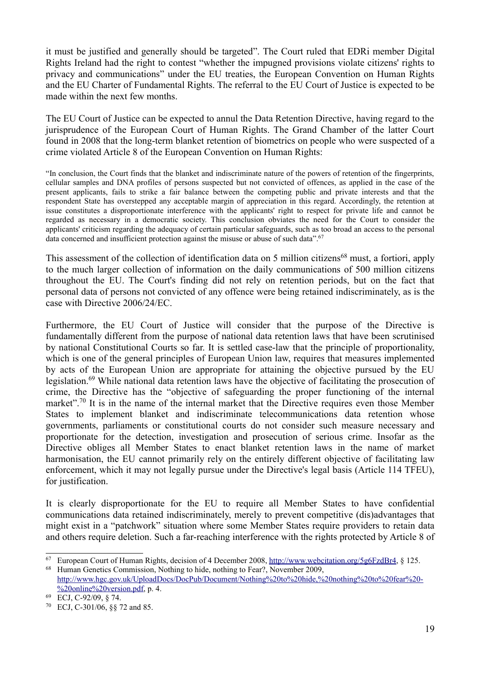it must be justified and generally should be targeted". The Court ruled that EDRi member Digital Rights Ireland had the right to contest "whether the impugned provisions violate citizens' rights to privacy and communications" under the EU treaties, the European Convention on Human Rights and the EU Charter of Fundamental Rights. The referral to the EU Court of Justice is expected to be made within the next few months.

The EU Court of Justice can be expected to annul the Data Retention Directive, having regard to the jurisprudence of the European Court of Human Rights. The Grand Chamber of the latter Court found in 2008 that the long-term blanket retention of biometrics on people who were suspected of a crime violated Article 8 of the European Convention on Human Rights:

"In conclusion, the Court finds that the blanket and indiscriminate nature of the powers of retention of the fingerprints, cellular samples and DNA profiles of persons suspected but not convicted of offences, as applied in the case of the present applicants, fails to strike a fair balance between the competing public and private interests and that the respondent State has overstepped any acceptable margin of appreciation in this regard. Accordingly, the retention at issue constitutes a disproportionate interference with the applicants' right to respect for private life and cannot be regarded as necessary in a democratic society. This conclusion obviates the need for the Court to consider the applicants' criticism regarding the adequacy of certain particular safeguards, such as too broad an access to the personal data concerned and insufficient protection against the misuse or abuse of such data".<sup>[67](#page-18-0)</sup>

This assessment of the collection of identification data on 5 million citizens<sup>[68](#page-18-1)</sup> must, a fortiori, apply to the much larger collection of information on the daily communications of 500 million citizens throughout the EU. The Court's finding did not rely on retention periods, but on the fact that personal data of persons not convicted of any offence were being retained indiscriminately, as is the case with Directive 2006/24/EC.

Furthermore, the EU Court of Justice will consider that the purpose of the Directive is fundamentally different from the purpose of national data retention laws that have been scrutinised by national Constitutional Courts so far. It is settled case-law that the principle of proportionality, which is one of the general principles of European Union law, requires that measures implemented by acts of the European Union are appropriate for attaining the objective pursued by the EU legislation.[69](#page-18-2) While national data retention laws have the objective of facilitating the prosecution of crime, the Directive has the "objective of safeguarding the proper functioning of the internal market".<sup>[70](#page-18-3)</sup> It is in the name of the internal market that the Directive requires even those Member States to implement blanket and indiscriminate telecommunications data retention whose governments, parliaments or constitutional courts do not consider such measure necessary and proportionate for the detection, investigation and prosecution of serious crime. Insofar as the Directive obliges all Member States to enact blanket retention laws in the name of market harmonisation, the EU cannot primarily rely on the entirely different objective of facilitating law enforcement, which it may not legally pursue under the Directive's legal basis (Article 114 TFEU), for justification.

It is clearly disproportionate for the EU to require all Member States to have confidential communications data retained indiscriminately, merely to prevent competitive (dis)advantages that might exist in a "patchwork" situation where some Member States require providers to retain data and others require deletion. Such a far-reaching interference with the rights protected by Article 8 of

<span id="page-18-0"></span><sup>67</sup> European Court of Human Rights, decision of 4 December 2008, [http://www.webcitation.org/5g6FzdBr4,](http://www.webcitation.org/5g6FzdBr4) § 125. <sup>68</sup> Human Genetics Commission, Nothing to hide, nothing to Fear?, November 2009,

<span id="page-18-1"></span>[http://www.hgc.gov.uk/UploadDocs/DocPub/Document/Nothing%20to%20hide,%20nothing%20to%20fear%20-](http://www.hgc.gov.uk/UploadDocs/DocPub/Document/Nothing%20to%20hide,%20nothing%20to%20fear%20-%20online%20version.pdf) [%20online%20version.pdf,](http://www.hgc.gov.uk/UploadDocs/DocPub/Document/Nothing%20to%20hide,%20nothing%20to%20fear%20-%20online%20version.pdf) p. 4.

<span id="page-18-2"></span><sup>69</sup> ECJ, C-92/09, § 74.

<span id="page-18-3"></span><sup>70</sup> ECJ, C-301/06, §§ 72 and 85.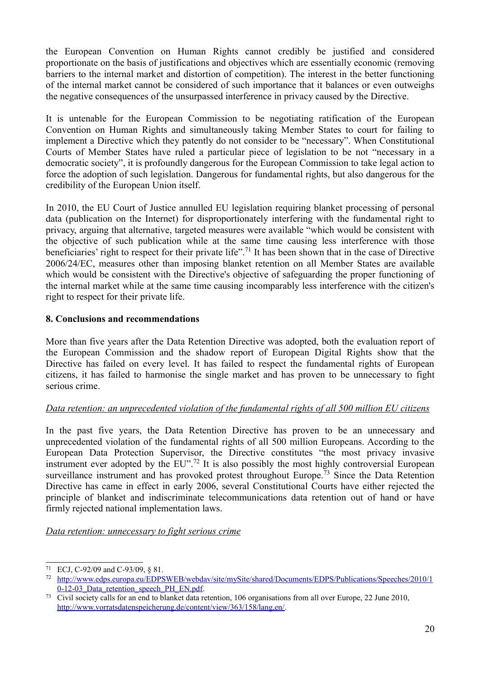the European Convention on Human Rights cannot credibly be justified and considered proportionate on the basis of justifications and objectives which are essentially economic (removing barriers to the internal market and distortion of competition). The interest in the better functioning of the internal market cannot be considered of such importance that it balances or even outweighs the negative consequences of the unsurpassed interference in privacy caused by the Directive.

It is untenable for the European Commission to be negotiating ratification of the European Convention on Human Rights and simultaneously taking Member States to court for failing to implement a Directive which they patently do not consider to be "necessary". When Constitutional Courts of Member States have ruled a particular piece of legislation to be not "necessary in a democratic society", it is profoundly dangerous for the European Commission to take legal action to force the adoption of such legislation. Dangerous for fundamental rights, but also dangerous for the credibility of the European Union itself.

In 2010, the EU Court of Justice annulled EU legislation requiring blanket processing of personal data (publication on the Internet) for disproportionately interfering with the fundamental right to privacy, arguing that alternative, targeted measures were available "which would be consistent with the objective of such publication while at the same time causing less interference with those beneficiaries' right to respect for their private life".[71](#page-19-0) It has been shown that in the case of Directive 2006/24/EC, measures other than imposing blanket retention on all Member States are available which would be consistent with the Directive's objective of safeguarding the proper functioning of the internal market while at the same time causing incomparably less interference with the citizen's right to respect for their private life.

# **8. Conclusions and recommendations**

More than five years after the Data Retention Directive was adopted, both the evaluation report of the European Commission and the shadow report of European Digital Rights show that the Directive has failed on every level. It has failed to respect the fundamental rights of European citizens, it has failed to harmonise the single market and has proven to be unnecessary to fight serious crime.

# *Data retention: an unprecedented violation of the fundamental rights of all 500 million EU citizens*

In the past five years, the Data Retention Directive has proven to be an unnecessary and unprecedented violation of the fundamental rights of all 500 million Europeans. According to the European Data Protection Supervisor, the Directive constitutes "the most privacy invasive instrument ever adopted by the  $EU^{\prime\prime}$ .<sup>[72](#page-19-1)</sup> It is also possibly the most highly controversial European surveillance instrument and has provoked protest throughout Europe.<sup>[73](#page-19-2)</sup> Since the Data Retention Directive has came in effect in early 2006, several Constitutional Courts have either rejected the principle of blanket and indiscriminate telecommunications data retention out of hand or have firmly rejected national implementation laws.

#### *Data retention: unnecessary to fight serious crime*

<span id="page-19-0"></span><sup>71</sup> ECJ, C-92/09 and C-93/09, § 81.

<span id="page-19-1"></span><sup>72</sup>  [http://www.edps.europa.eu/EDPSWEB/webdav/site/mySite/shared/Documents/EDPS/Publications/Speeches/2010/1](http://www.edps.europa.eu/EDPSWEB/webdav/site/mySite/shared/Documents/EDPS/Publications/Speeches/2010/10-12-03_Data_retention_speech_PH_EN.pdf) 0-12-03 Data\_retention\_speech\_PH\_EN.pdf.

<span id="page-19-2"></span><sup>73</sup> Civil society calls for an end to blanket data retention, 106 organisations from all over Europe, 22 June 2010, [http://www.vorratsdatenspeicherung.de/content/view/363/158/lang,en/.](http://www.vorratsdatenspeicherung.de/content/view/363/158/lang,en/)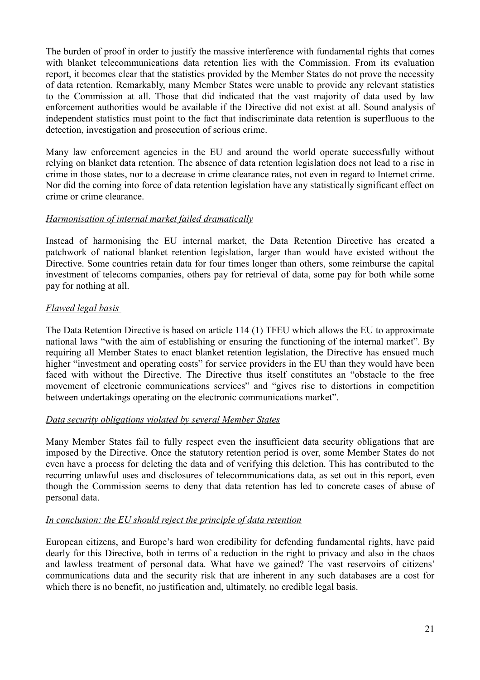The burden of proof in order to justify the massive interference with fundamental rights that comes with blanket telecommunications data retention lies with the Commission. From its evaluation report, it becomes clear that the statistics provided by the Member States do not prove the necessity of data retention. Remarkably, many Member States were unable to provide any relevant statistics to the Commission at all. Those that did indicated that the vast majority of data used by law enforcement authorities would be available if the Directive did not exist at all. Sound analysis of independent statistics must point to the fact that indiscriminate data retention is superfluous to the detection, investigation and prosecution of serious crime.

Many law enforcement agencies in the EU and around the world operate successfully without relying on blanket data retention. The absence of data retention legislation does not lead to a rise in crime in those states, nor to a decrease in crime clearance rates, not even in regard to Internet crime. Nor did the coming into force of data retention legislation have any statistically significant effect on crime or crime clearance.

# *Harmonisation of internal market failed dramatically*

Instead of harmonising the EU internal market, the Data Retention Directive has created a patchwork of national blanket retention legislation, larger than would have existed without the Directive. Some countries retain data for four times longer than others, some reimburse the capital investment of telecoms companies, others pay for retrieval of data, some pay for both while some pay for nothing at all.

# *Flawed legal basis*

The Data Retention Directive is based on article 114 (1) TFEU which allows the EU to approximate national laws "with the aim of establishing or ensuring the functioning of the internal market". By requiring all Member States to enact blanket retention legislation, the Directive has ensued much higher "investment and operating costs" for service providers in the EU than they would have been faced with without the Directive. The Directive thus itself constitutes an "obstacle to the free movement of electronic communications services" and "gives rise to distortions in competition between undertakings operating on the electronic communications market".

#### *Data security obligations violated by several Member States*

Many Member States fail to fully respect even the insufficient data security obligations that are imposed by the Directive. Once the statutory retention period is over, some Member States do not even have a process for deleting the data and of verifying this deletion. This has contributed to the recurring unlawful uses and disclosures of telecommunications data, as set out in this report, even though the Commission seems to deny that data retention has led to concrete cases of abuse of personal data.

#### *In conclusion: the EU should reject the principle of data retention*

European citizens, and Europe's hard won credibility for defending fundamental rights, have paid dearly for this Directive, both in terms of a reduction in the right to privacy and also in the chaos and lawless treatment of personal data. What have we gained? The vast reservoirs of citizens' communications data and the security risk that are inherent in any such databases are a cost for which there is no benefit, no justification and, ultimately, no credible legal basis.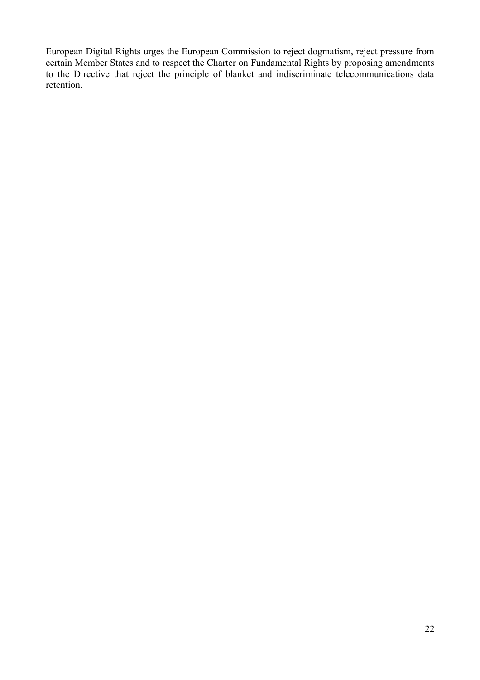European Digital Rights urges the European Commission to reject dogmatism, reject pressure from certain Member States and to respect the Charter on Fundamental Rights by proposing amendments to the Directive that reject the principle of blanket and indiscriminate telecommunications data retention.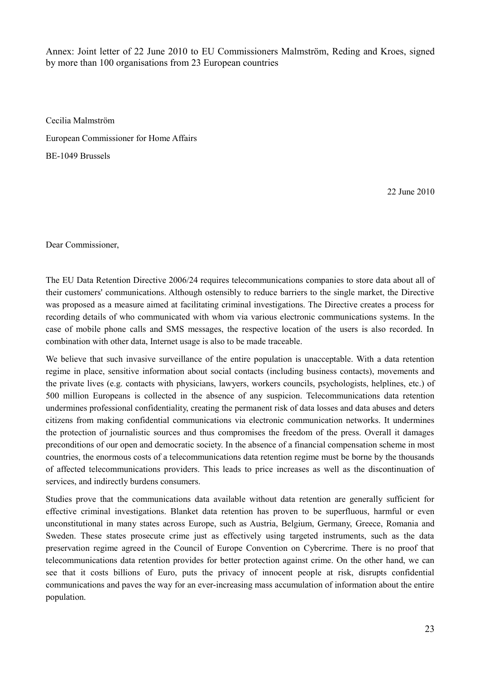Annex: Joint letter of 22 June 2010 to EU Commissioners Malmström, Reding and Kroes, signed by more than 100 organisations from 23 European countries

Cecilia Malmström

European Commissioner for Home Affairs

BE-1049 Brussels

22 June 2010

Dear Commissioner,

The EU Data Retention Directive 2006/24 requires telecommunications companies to store data about all of their customers' communications. Although ostensibly to reduce barriers to the single market, the Directive was proposed as a measure aimed at facilitating criminal investigations. The Directive creates a process for recording details of who communicated with whom via various electronic communications systems. In the case of mobile phone calls and SMS messages, the respective location of the users is also recorded. In combination with other data, Internet usage is also to be made traceable.

We believe that such invasive surveillance of the entire population is unacceptable. With a data retention regime in place, sensitive information about social contacts (including business contacts), movements and the private lives (e.g. contacts with physicians, lawyers, workers councils, psychologists, helplines, etc.) of 500 million Europeans is collected in the absence of any suspicion. Telecommunications data retention undermines professional confidentiality, creating the permanent risk of data losses and data abuses and deters citizens from making confidential communications via electronic communication networks. It undermines the protection of journalistic sources and thus compromises the freedom of the press. Overall it damages preconditions of our open and democratic society. In the absence of a financial compensation scheme in most countries, the enormous costs of a telecommunications data retention regime must be borne by the thousands of affected telecommunications providers. This leads to price increases as well as the discontinuation of services, and indirectly burdens consumers.

Studies prove that the communications data available without data retention are generally sufficient for effective criminal investigations. Blanket data retention has proven to be superfluous, harmful or even unconstitutional in many states across Europe, such as Austria, Belgium, Germany, Greece, Romania and Sweden. These states prosecute crime just as effectively using targeted instruments, such as the data preservation regime agreed in the Council of Europe Convention on Cybercrime. There is no proof that telecommunications data retention provides for better protection against crime. On the other hand, we can see that it costs billions of Euro, puts the privacy of innocent people at risk, disrupts confidential communications and paves the way for an ever-increasing mass accumulation of information about the entire population.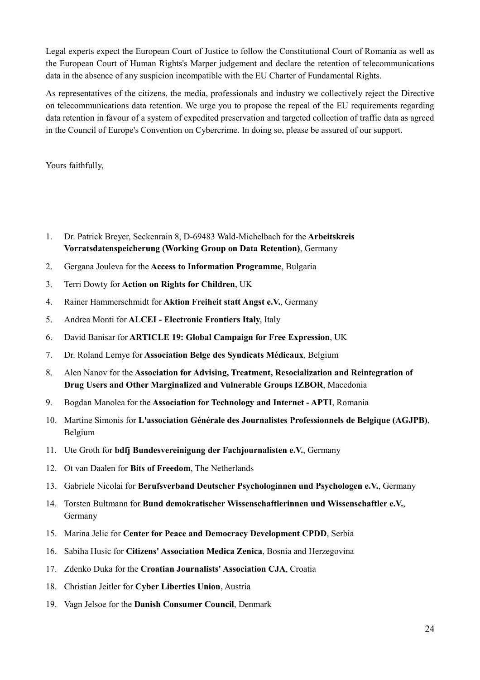Legal experts expect the European Court of Justice to follow the Constitutional Court of Romania as well as the European Court of Human Rights's Marper judgement and declare the retention of telecommunications data in the absence of any suspicion incompatible with the EU Charter of Fundamental Rights.

As representatives of the citizens, the media, professionals and industry we collectively reject the Directive on telecommunications data retention. We urge you to propose the repeal of the EU requirements regarding data retention in favour of a system of expedited preservation and targeted collection of traffic data as agreed in the Council of Europe's Convention on Cybercrime. In doing so, please be assured of our support.

Yours faithfully,

- 1. Dr. Patrick Breyer, Seckenrain 8, D-69483 Wald-Michelbach for the **Arbeitskreis Vorratsdatenspeicherung (Working Group on Data Retention)**, Germany
- 2. Gergana Jouleva for the **Access to Information Programme**, Bulgaria
- 3. Terri Dowty for **Action on Rights for Children**, UK
- 4. Rainer Hammerschmidt for **Aktion Freiheit statt Angst e.V.**, Germany
- 5. Andrea Monti for **ALCEI Electronic Frontiers Italy**, Italy
- 6. David Banisar for **ARTICLE 19: Global Campaign for Free Expression**, UK
- 7. Dr. Roland Lemye for **Association Belge des Syndicats Médicaux**, Belgium
- 8. Alen Nanov for the **Association for Advising, Treatment, Resocialization and Reintegration of Drug Users and Other Marginalized and Vulnerable Groups IZBOR**, Macedonia
- 9. Bogdan Manolea for the **Association for Technology and Internet APTI**, Romania
- 10. Martine Simonis for **L'association Générale des Journalistes Professionnels de Belgique (AGJPB)**, Belgium
- 11. Ute Groth for **bdfj Bundesvereinigung der Fachjournalisten e.V.**, Germany
- 12. Ot van Daalen for **Bits of Freedom**, The Netherlands
- 13. Gabriele Nicolai for **Berufsverband Deutscher Psychologinnen und Psychologen e.V.**, Germany
- 14. Torsten Bultmann for **Bund demokratischer Wissenschaftlerinnen und Wissenschaftler e.V.**, Germany
- 15. Marina Jelic for **Center for Peace and Democracy Development CPDD**, Serbia
- 16. Sabiha Husic for **Citizens' Association Medica Zenica**, Bosnia and Herzegovina
- 17. Zdenko Duka for the **Croatian Journalists' Association CJA**, Croatia
- 18. Christian Jeitler for **Cyber Liberties Union**, Austria
- 19. Vagn Jelsoe for the **Danish Consumer Council**, Denmark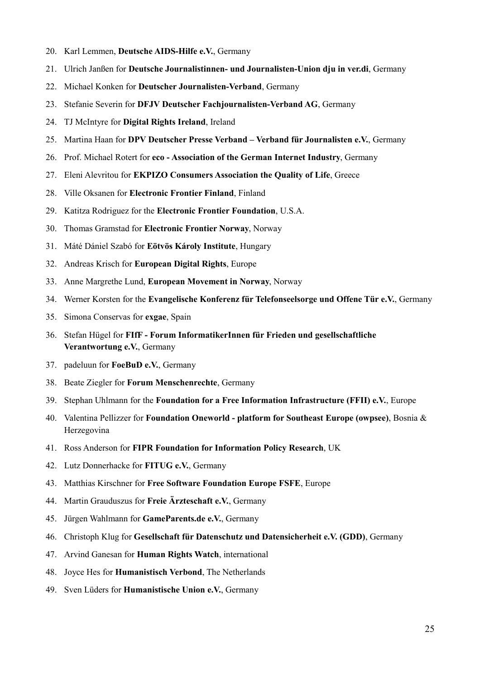- 20. Karl Lemmen, **Deutsche AIDS-Hilfe e.V.**, Germany
- 21. Ulrich Janßen for **Deutsche Journalistinnen- und Journalisten-Union dju in ver.di**, Germany
- 22. Michael Konken for **Deutscher Journalisten-Verband**, Germany
- 23. Stefanie Severin for **DFJV Deutscher Fachjournalisten-Verband AG**, Germany
- 24. TJ McIntyre for **Digital Rights Ireland**, Ireland
- 25. Martina Haan for **DPV Deutscher Presse Verband Verband für Journalisten e.V.**, Germany
- 26. Prof. Michael Rotert for **eco Association of the German Internet Industry**, Germany
- 27. Eleni Alevritou for **EKPIZO Consumers Association the Quality of Life**, Greece
- 28. Ville Oksanen for **Electronic Frontier Finland**, Finland
- 29. Katitza Rodriguez for the **Electronic Frontier Foundation**, U.S.A.
- 30. Thomas Gramstad for **Electronic Frontier Norway**, Norway
- 31. Máté Dániel Szabó for **Eötvös Károly Institute**, Hungary
- 32. Andreas Krisch for **European Digital Rights**, Europe
- 33. Anne Margrethe Lund, **European Movement in Norway**, Norway
- 34. Werner Korsten for the **Evangelische Konferenz für Telefonseelsorge und Offene Tür e.V.**, Germany
- 35. Simona Conservas for **exgae**, Spain
- 36. Stefan Hügel for **FIfF Forum InformatikerInnen für Frieden und gesellschaftliche Verantwortung e.V.**, Germany
- 37. padeluun for **FoeBuD e.V.**, Germany
- 38. Beate Ziegler for **Forum Menschenrechte**, Germany
- 39. Stephan Uhlmann for the **Foundation for a Free Information Infrastructure (FFII) e.V.**, Europe
- 40. Valentina Pellizzer for **Foundation Oneworld platform for Southeast Europe (owpsee)**, Bosnia & Herzegovina
- 41. Ross Anderson for **FIPR Foundation for Information Policy Research**, UK
- 42. Lutz Donnerhacke for **FITUG e.V.**, Germany
- 43. Matthias Kirschner for **Free Software Foundation Europe FSFE**, Europe
- 44. Martin Grauduszus for **Freie Ärzteschaft e.V.**, Germany
- 45. Jürgen Wahlmann for **GameParents.de e.V.**, Germany
- 46. Christoph Klug for **Gesellschaft für Datenschutz und Datensicherheit e.V. (GDD)**, Germany
- 47. Arvind Ganesan for **Human Rights Watch**, international
- 48. Joyce Hes for **Humanistisch Verbond**, The Netherlands
- 49. Sven Lüders for **Humanistische Union e.V.**, Germany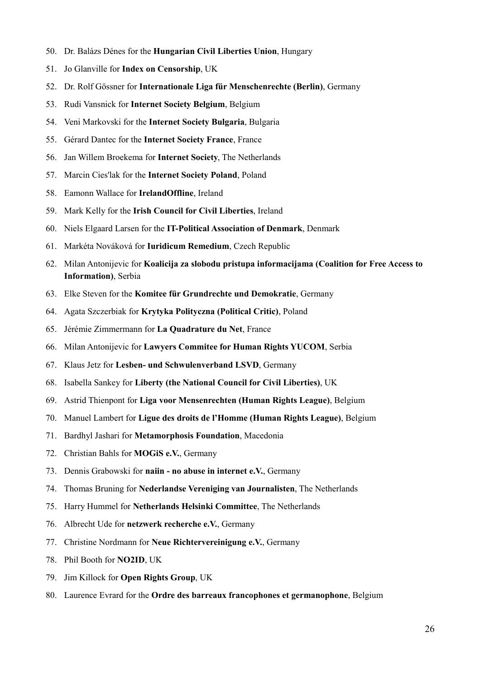- 50. Dr. Balázs Dénes for the **Hungarian Civil Liberties Union**, Hungary
- 51. Jo Glanville for **Index on Censorship**, UK
- 52. Dr. Rolf Gössner for **Internationale Liga für Menschenrechte (Berlin)**, Germany
- 53. Rudi Vansnick for **Internet Society Belgium**, Belgium
- 54. Veni Markovski for the **Internet Society Bulgaria**, Bulgaria
- 55. Gérard Dantec for the **Internet Society France**, France
- 56. Jan Willem Broekema for **Internet Society**, The Netherlands
- 57. Marcin Cies'lak for the **Internet Society Poland**, Poland
- 58. Eamonn Wallace for **IrelandOffline**, Ireland
- 59. Mark Kelly for the **Irish Council for Civil Liberties**, Ireland
- 60. Niels Elgaard Larsen for the **IT-Political Association of Denmark**, Denmark
- 61. Markéta Nováková for **Iuridicum Remedium**, Czech Republic
- 62. Milan Antonijevic for **Koalicija za slobodu pristupa informacijama (Coalition for Free Access to Information)**, Serbia
- 63. Elke Steven for the **Komitee für Grundrechte und Demokratie**, Germany
- 64. Agata Szczerbiak for **Krytyka Polityczna (Political Critic)**, Poland
- 65. Jérémie Zimmermann for **La Quadrature du Net**, France
- 66. Milan Antonijevic for **Lawyers Commitee for Human Rights YUCOM**, Serbia
- 67. Klaus Jetz for **Lesben- und Schwulenverband LSVD**, Germany
- 68. Isabella Sankey for **Liberty (the National Council for Civil Liberties)**, UK
- 69. Astrid Thienpont for **Liga voor Mensenrechten (Human Rights League)**, Belgium
- 70. Manuel Lambert for **Ligue des droits de l'Homme (Human Rights League)**, Belgium
- 71. Bardhyl Jashari for **Metamorphosis Foundation**, Macedonia
- 72. Christian Bahls for **MOGiS e.V.**, Germany
- 73. Dennis Grabowski for **naiin no abuse in internet e.V.**, Germany
- 74. Thomas Bruning for **Nederlandse Vereniging van Journalisten**, The Netherlands
- 75. Harry Hummel for **Netherlands Helsinki Committee**, The Netherlands
- 76. Albrecht Ude for **netzwerk recherche e.V.**, Germany
- 77. Christine Nordmann for **Neue Richtervereinigung e.V.**, Germany
- 78. Phil Booth for **NO2ID**, UK
- 79. Jim Killock for **Open Rights Group**, UK
- 80. Laurence Evrard for the **Ordre des barreaux francophones et germanophone**, Belgium